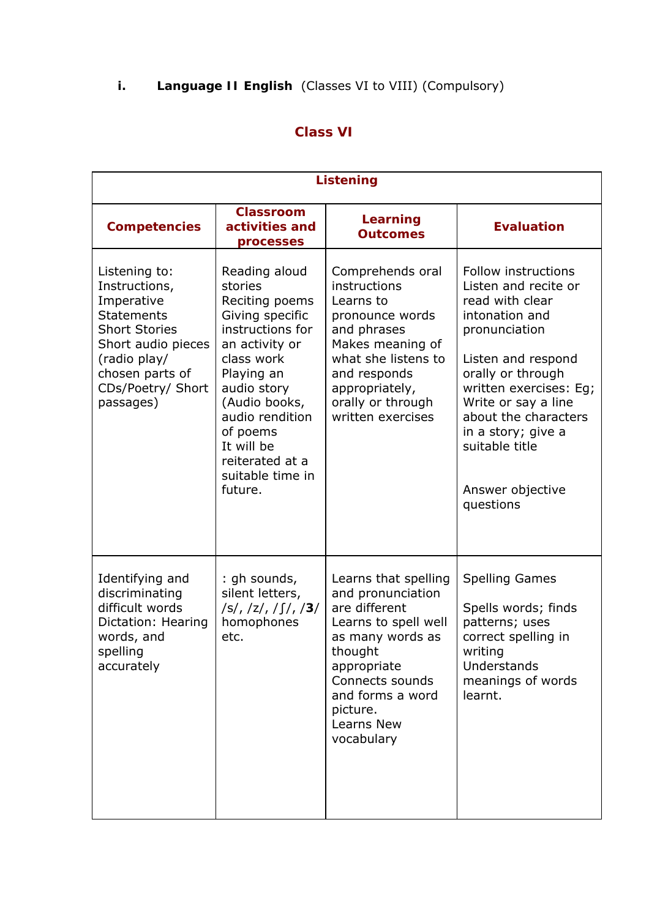## **i. Language II English** (Classes VI to VIII) (Compulsory)

## **Class VI**

|                                                                                                                                                                                      | <b>Listening</b>                                                                                                                                                                                                                                               |                                                                                                                                                                                                                 |                                                                                                                                                                                                                                                                                                |  |  |  |
|--------------------------------------------------------------------------------------------------------------------------------------------------------------------------------------|----------------------------------------------------------------------------------------------------------------------------------------------------------------------------------------------------------------------------------------------------------------|-----------------------------------------------------------------------------------------------------------------------------------------------------------------------------------------------------------------|------------------------------------------------------------------------------------------------------------------------------------------------------------------------------------------------------------------------------------------------------------------------------------------------|--|--|--|
| <b>Competencies</b>                                                                                                                                                                  | <b>Classroom</b><br>activities and<br>processes                                                                                                                                                                                                                | <b>Learning</b><br><b>Outcomes</b>                                                                                                                                                                              | <b>Evaluation</b>                                                                                                                                                                                                                                                                              |  |  |  |
| Listening to:<br>Instructions,<br>Imperative<br><b>Statements</b><br><b>Short Stories</b><br>Short audio pieces<br>(radio play/<br>chosen parts of<br>CDs/Poetry/ Short<br>passages) | Reading aloud<br>stories<br>Reciting poems<br>Giving specific<br>instructions for<br>an activity or<br>class work<br>Playing an<br>audio story<br>(Audio books,<br>audio rendition<br>of poems<br>It will be<br>reiterated at a<br>suitable time in<br>future. | Comprehends oral<br>instructions<br>Learns to<br>pronounce words<br>and phrases<br>Makes meaning of<br>what she listens to<br>and responds<br>appropriately,<br>orally or through<br>written exercises          | Follow instructions<br>Listen and recite or<br>read with clear<br>intonation and<br>pronunciation<br>Listen and respond<br>orally or through<br>written exercises: Eq;<br>Write or say a line<br>about the characters<br>in a story; give a<br>suitable title<br>Answer objective<br>questions |  |  |  |
| Identifying and<br>discriminating<br>difficult words<br>Dictation: Hearing<br>words, and<br>spelling<br>accurately                                                                   | : gh sounds,<br>silent letters,<br> S ,  Z ,  S ,  3 <br>homophones<br>etc.                                                                                                                                                                                    | Learns that spelling<br>and pronunciation<br>are different<br>Learns to spell well<br>as many words as<br>thought<br>appropriate<br>Connects sounds<br>and forms a word<br>picture.<br>Learns New<br>vocabulary | <b>Spelling Games</b><br>Spells words; finds<br>patterns; uses<br>correct spelling in<br>writing<br>Understands<br>meanings of words<br>learnt.                                                                                                                                                |  |  |  |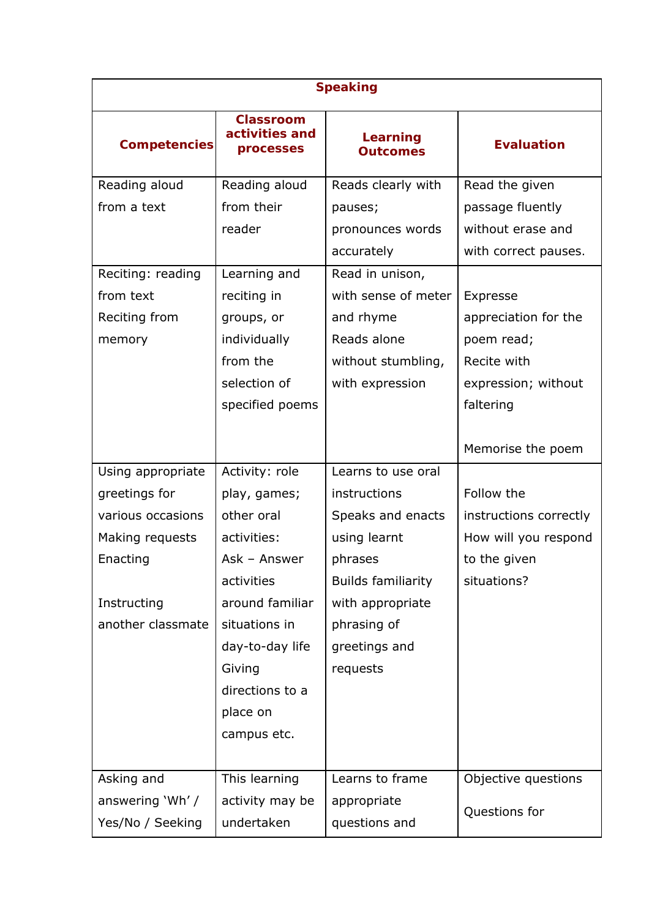| <b>Speaking</b>     |                                                 |                                    |                        |  |  |
|---------------------|-------------------------------------------------|------------------------------------|------------------------|--|--|
| <b>Competencies</b> | <b>Classroom</b><br>activities and<br>processes | <b>Learning</b><br><b>Outcomes</b> | <b>Evaluation</b>      |  |  |
| Reading aloud       | Reading aloud                                   | Reads clearly with                 | Read the given         |  |  |
| from a text         | from their                                      | pauses;                            | passage fluently       |  |  |
|                     | reader                                          | pronounces words                   | without erase and      |  |  |
|                     |                                                 | accurately                         | with correct pauses.   |  |  |
| Reciting: reading   | Learning and                                    | Read in unison,                    |                        |  |  |
| from text           | reciting in                                     | with sense of meter                | Expresse               |  |  |
| Reciting from       | groups, or                                      | and rhyme                          | appreciation for the   |  |  |
| memory              | individually                                    | Reads alone                        | poem read;             |  |  |
|                     | from the                                        | without stumbling,                 | Recite with            |  |  |
|                     | selection of                                    | with expression                    | expression; without    |  |  |
|                     | specified poems                                 |                                    | faltering              |  |  |
|                     |                                                 |                                    | Memorise the poem      |  |  |
| Using appropriate   | Activity: role                                  | Learns to use oral                 |                        |  |  |
| greetings for       | play, games;                                    | instructions                       | Follow the             |  |  |
| various occasions   | other oral                                      | Speaks and enacts                  | instructions correctly |  |  |
| Making requests     | activities:                                     | using learnt                       | How will you respond   |  |  |
| Enacting            | Ask - Answer                                    | phrases                            | to the given           |  |  |
|                     | activities                                      | <b>Builds familiarity</b>          | situations?            |  |  |
| Instructing         | around familiar                                 | with appropriate                   |                        |  |  |
| another classmate   | situations in                                   | phrasing of                        |                        |  |  |
|                     | day-to-day life                                 | greetings and                      |                        |  |  |
|                     | Giving                                          | requests                           |                        |  |  |
|                     | directions to a                                 |                                    |                        |  |  |
|                     | place on                                        |                                    |                        |  |  |
|                     | campus etc.                                     |                                    |                        |  |  |
|                     |                                                 |                                    |                        |  |  |
| Asking and          | This learning                                   | Learns to frame                    | Objective questions    |  |  |
| answering 'Wh' /    | activity may be                                 | appropriate                        | Questions for          |  |  |
| Yes/No / Seeking    | undertaken                                      | questions and                      |                        |  |  |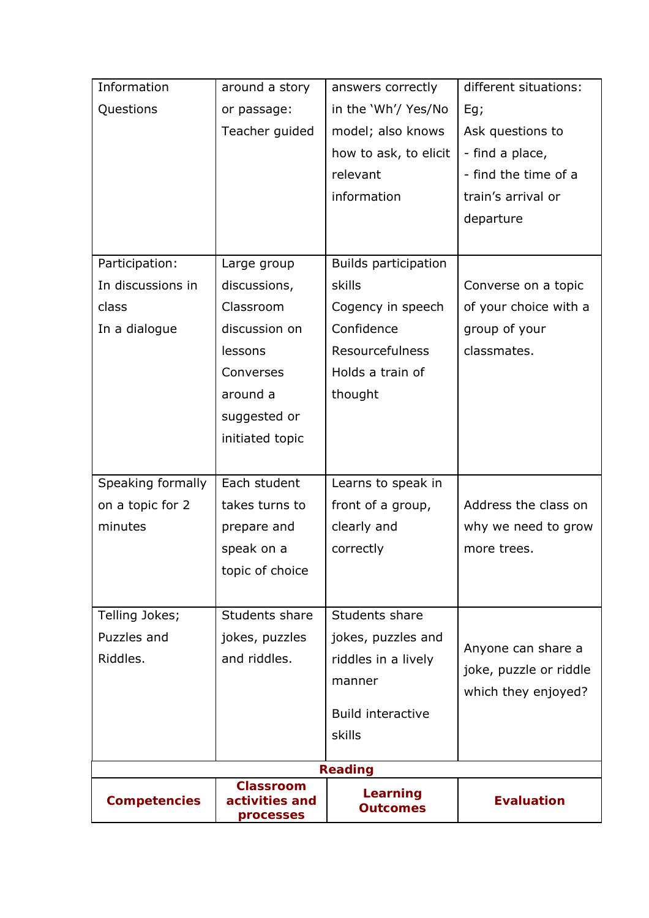| Information         | around a story                                  | answers correctly           | different situations:  |
|---------------------|-------------------------------------------------|-----------------------------|------------------------|
| Questions           | or passage:                                     | in the 'Wh'/ Yes/No         | Eg;                    |
|                     | Teacher guided                                  | model; also knows           | Ask questions to       |
|                     |                                                 | how to ask, to elicit       | - find a place,        |
|                     |                                                 | relevant                    | - find the time of a   |
|                     |                                                 | information                 | train's arrival or     |
|                     |                                                 |                             | departure              |
|                     |                                                 |                             |                        |
| Participation:      | Large group                                     | <b>Builds participation</b> |                        |
| In discussions in   | discussions,                                    | skills                      | Converse on a topic    |
| class               | Classroom                                       | Cogency in speech           | of your choice with a  |
| In a dialogue       | discussion on                                   | Confidence                  | group of your          |
|                     | lessons                                         | <b>Resourcefulness</b>      | classmates.            |
|                     | Converses                                       | Holds a train of            |                        |
|                     | around a                                        | thought                     |                        |
|                     | suggested or                                    |                             |                        |
|                     | initiated topic                                 |                             |                        |
|                     |                                                 |                             |                        |
| Speaking formally   | Each student                                    | Learns to speak in          |                        |
| on a topic for 2    | takes turns to                                  | front of a group,           | Address the class on   |
| minutes             | prepare and                                     | clearly and                 | why we need to grow    |
|                     | speak on a                                      | correctly                   | more trees.            |
|                     | topic of choice                                 |                             |                        |
|                     |                                                 |                             |                        |
| Telling Jokes;      | Students share                                  | Students share              |                        |
| Puzzles and         | jokes, puzzles                                  | jokes, puzzles and          | Anyone can share a     |
| Riddles.            | and riddles.                                    | riddles in a lively         | joke, puzzle or riddle |
|                     |                                                 | manner                      | which they enjoyed?    |
|                     |                                                 | <b>Build interactive</b>    |                        |
|                     |                                                 | skills                      |                        |
|                     |                                                 |                             |                        |
|                     |                                                 | <b>Reading</b>              |                        |
| <b>Competencies</b> | <b>Classroom</b><br>activities and<br>processes | Learning<br><b>Outcomes</b> | <b>Evaluation</b>      |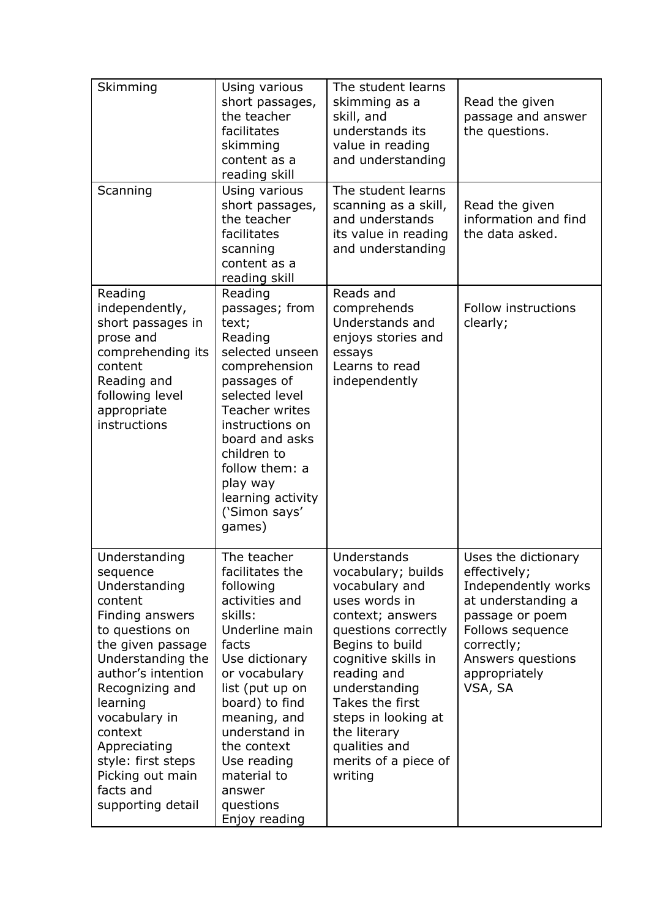| Skimming                                                                                                                                                                                                                                                                                                           | Using various<br>short passages,<br>the teacher<br>facilitates<br>skimming<br>content as a<br>reading skill                                                                                                                                                                                       | The student learns<br>skimming as a<br>skill, and<br>understands its<br>value in reading<br>and understanding                                                                                                                                                                                           | Read the given<br>passage and answer<br>the questions.                                                                                                                                 |
|--------------------------------------------------------------------------------------------------------------------------------------------------------------------------------------------------------------------------------------------------------------------------------------------------------------------|---------------------------------------------------------------------------------------------------------------------------------------------------------------------------------------------------------------------------------------------------------------------------------------------------|---------------------------------------------------------------------------------------------------------------------------------------------------------------------------------------------------------------------------------------------------------------------------------------------------------|----------------------------------------------------------------------------------------------------------------------------------------------------------------------------------------|
| Scanning                                                                                                                                                                                                                                                                                                           | Using various<br>short passages,<br>the teacher<br>facilitates<br>scanning<br>content as a<br>reading skill                                                                                                                                                                                       | The student learns<br>scanning as a skill,<br>and understands<br>its value in reading<br>and understanding                                                                                                                                                                                              | Read the given<br>information and find<br>the data asked.                                                                                                                              |
| Reading<br>independently,<br>short passages in<br>prose and<br>comprehending its<br>content<br>Reading and<br>following level<br>appropriate<br>instructions                                                                                                                                                       | Reading<br>passages; from<br>text;<br>Reading<br>selected unseen<br>comprehension<br>passages of<br>selected level<br>Teacher writes<br>instructions on<br>board and asks<br>children to<br>follow them: a<br>play way<br>learning activity<br>('Simon says'<br>games)                            | Reads and<br>comprehends<br>Understands and<br>enjoys stories and<br>essays<br>Learns to read<br>independently                                                                                                                                                                                          | Follow instructions<br>clearly;                                                                                                                                                        |
| Understanding<br>sequence<br>Understanding<br>content<br>Finding answers<br>to questions on<br>the given passage<br>Understanding the<br>author's intention<br>Recognizing and<br>learning<br>vocabulary in<br>context<br>Appreciating<br>style: first steps<br>Picking out main<br>facts and<br>supporting detail | The teacher<br>facilitates the<br>following<br>activities and<br>skills:<br>Underline main<br>facts<br>Use dictionary<br>or vocabulary<br>list (put up on<br>board) to find<br>meaning, and<br>understand in<br>the context<br>Use reading<br>material to<br>answer<br>questions<br>Enjoy reading | Understands<br>vocabulary; builds<br>vocabulary and<br>uses words in<br>context; answers<br>questions correctly<br>Begins to build<br>cognitive skills in<br>reading and<br>understanding<br>Takes the first<br>steps in looking at<br>the literary<br>qualities and<br>merits of a piece of<br>writing | Uses the dictionary<br>effectively;<br>Independently works<br>at understanding a<br>passage or poem<br>Follows sequence<br>correctly;<br>Answers questions<br>appropriately<br>VSA, SA |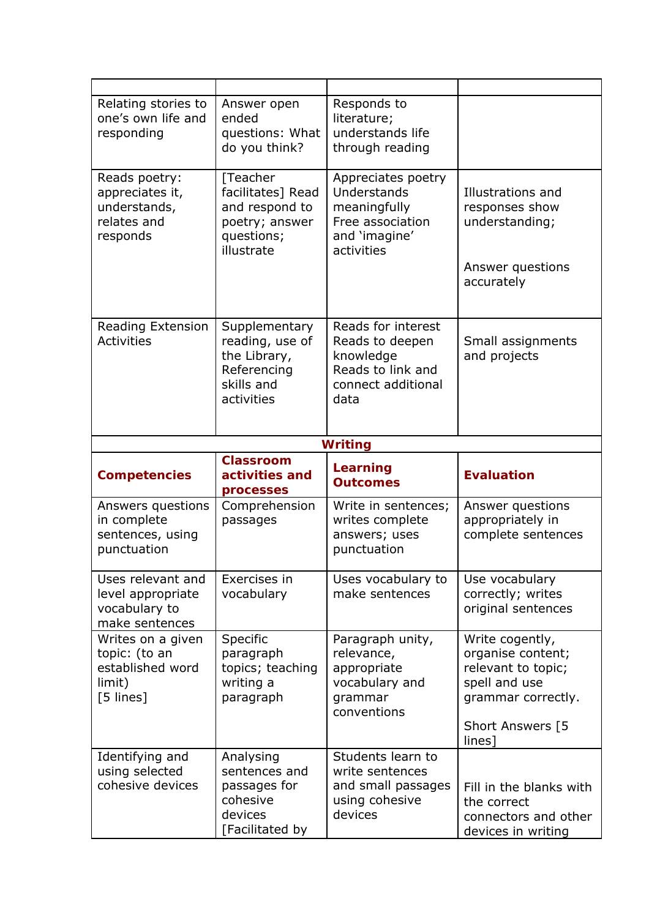| Relating stories to<br>one's own life and<br>responding                       | Answer open<br>ended<br>questions: What<br>do you think?                                      | Responds to<br>literature;<br>understands life<br>through reading                                     |                                                                                                                                 |
|-------------------------------------------------------------------------------|-----------------------------------------------------------------------------------------------|-------------------------------------------------------------------------------------------------------|---------------------------------------------------------------------------------------------------------------------------------|
| Reads poetry:<br>appreciates it,<br>understands,<br>relates and<br>responds   | [Teacher<br>facilitates] Read<br>and respond to<br>poetry; answer<br>questions;<br>illustrate | Appreciates poetry<br>Understands<br>meaningfully<br>Free association<br>and 'imagine'<br>activities  | Illustrations and<br>responses show<br>understanding;<br>Answer questions<br>accurately                                         |
| Reading Extension<br><b>Activities</b>                                        | Supplementary<br>reading, use of<br>the Library,<br>Referencing<br>skills and<br>activities   | Reads for interest<br>Reads to deepen<br>knowledge<br>Reads to link and<br>connect additional<br>data | Small assignments<br>and projects                                                                                               |
|                                                                               |                                                                                               | <b>Writing</b>                                                                                        |                                                                                                                                 |
|                                                                               |                                                                                               |                                                                                                       |                                                                                                                                 |
| <b>Competencies</b>                                                           | <b>Classroom</b><br>activities and<br>processes                                               | Learning<br><b>Outcomes</b>                                                                           | <b>Evaluation</b>                                                                                                               |
| Answers questions<br>in complete<br>sentences, using<br>punctuation           | Comprehension<br>passages                                                                     | Write in sentences;<br>writes complete<br>answers; uses<br>punctuation                                | Answer questions<br>appropriately in<br>complete sentences                                                                      |
| Uses relevant and<br>level appropriate<br>vocabulary to<br>make sentences     | Exercises in<br>vocabulary                                                                    | Uses vocabulary to<br>make sentences                                                                  | Use vocabulary<br>correctly; writes<br>original sentences                                                                       |
| Writes on a given<br>topic: (to an<br>established word<br>limit)<br>[5 lines] | Specific<br>paragraph<br>topics; teaching<br>writing a<br>paragraph                           | Paragraph unity,<br>relevance,<br>appropriate<br>vocabulary and<br>grammar<br>conventions             | Write cogently,<br>organise content;<br>relevant to topic;<br>spell and use<br>grammar correctly.<br>Short Answers [5<br>lines] |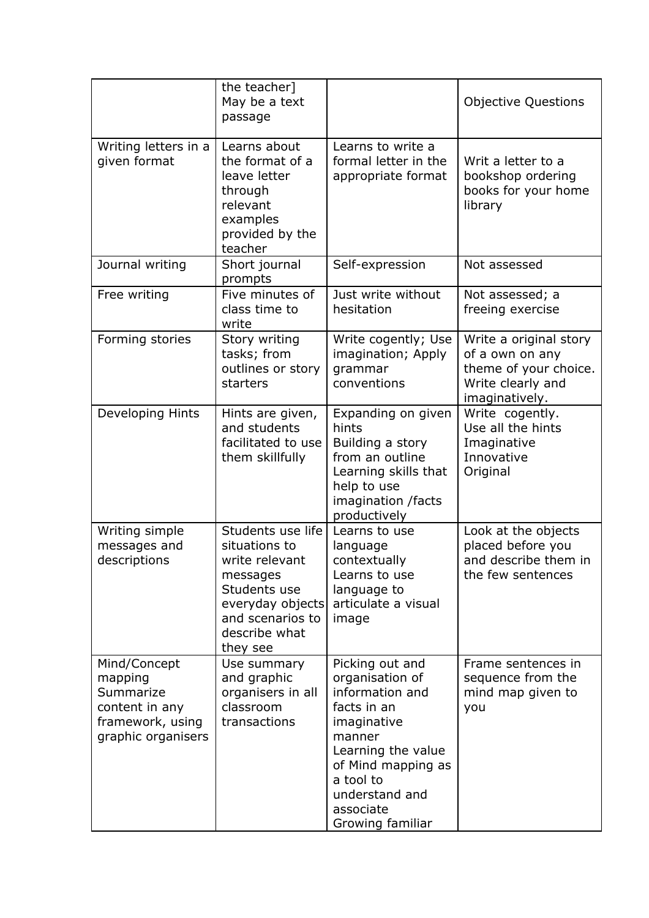|                                                                                                  | the teacher]<br>May be a text<br>passage                                                                                                              |                                                                                                                                                                                                           | <b>Objective Questions</b>                                                                                |
|--------------------------------------------------------------------------------------------------|-------------------------------------------------------------------------------------------------------------------------------------------------------|-----------------------------------------------------------------------------------------------------------------------------------------------------------------------------------------------------------|-----------------------------------------------------------------------------------------------------------|
| Writing letters in a<br>given format                                                             | Learns about<br>the format of a<br>leave letter<br>through<br>relevant<br>examples<br>provided by the<br>teacher                                      | Learns to write a<br>formal letter in the<br>appropriate format                                                                                                                                           | Writ a letter to a<br>bookshop ordering<br>books for your home<br>library                                 |
| Journal writing                                                                                  | Short journal<br>prompts                                                                                                                              | Self-expression                                                                                                                                                                                           | Not assessed                                                                                              |
| Free writing                                                                                     | Five minutes of<br>class time to<br>write                                                                                                             | Just write without<br>hesitation                                                                                                                                                                          | Not assessed; a<br>freeing exercise                                                                       |
| Forming stories                                                                                  | Story writing<br>tasks; from<br>outlines or story<br>starters                                                                                         | Write cogently; Use<br>imagination; Apply<br>grammar<br>conventions                                                                                                                                       | Write a original story<br>of a own on any<br>theme of your choice.<br>Write clearly and<br>imaginatively. |
| Developing Hints                                                                                 | Hints are given,<br>and students<br>facilitated to use<br>them skillfully                                                                             | Expanding on given<br>hints<br>Building a story<br>from an outline<br>Learning skills that<br>help to use<br>imagination /facts<br>productively                                                           | Write cogently.<br>Use all the hints<br>Imaginative<br>Innovative<br>Original                             |
| Writing simple<br>messages and<br>descriptions                                                   | Students use life<br>situations to<br>write relevant<br>messages<br>Students use<br>everyday objects<br>and scenarios to<br>describe what<br>they see | Learns to use<br>language<br>contextually<br>Learns to use<br>language to<br>articulate a visual<br>image                                                                                                 | Look at the objects<br>placed before you<br>and describe them in<br>the few sentences                     |
| Mind/Concept<br>mapping<br>Summarize<br>content in any<br>framework, using<br>graphic organisers | Use summary<br>and graphic<br>organisers in all<br>classroom<br>transactions                                                                          | Picking out and<br>organisation of<br>information and<br>facts in an<br>imaginative<br>manner<br>Learning the value<br>of Mind mapping as<br>a tool to<br>understand and<br>associate<br>Growing familiar | Frame sentences in<br>sequence from the<br>mind map given to<br>you                                       |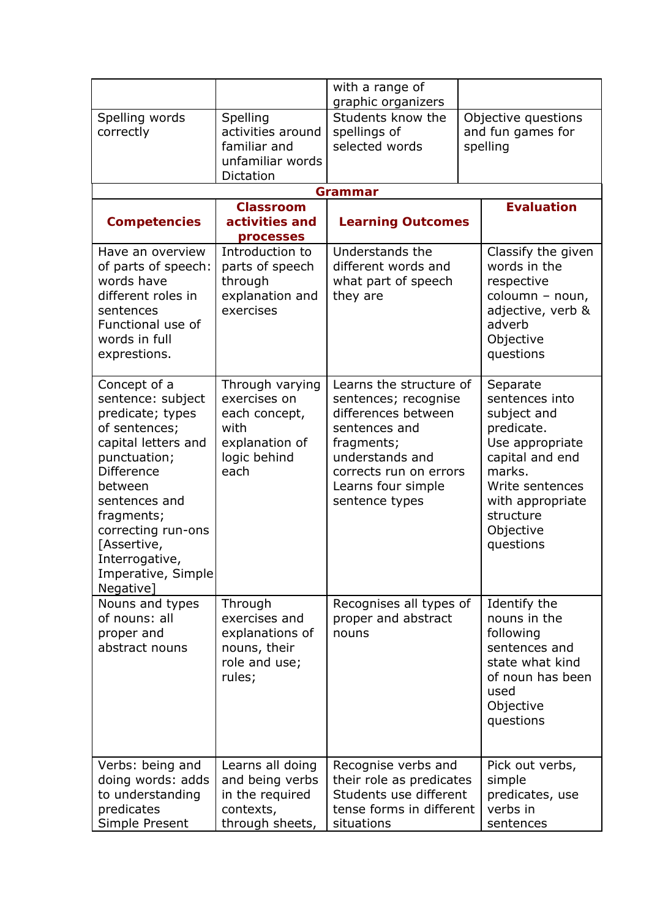|                                                                                                                                                                                                                                                                        |                                                                                                    | with a range of<br>graphic organizers                                                                                                                                                      |  |                                                                                                                                                                                       |  |
|------------------------------------------------------------------------------------------------------------------------------------------------------------------------------------------------------------------------------------------------------------------------|----------------------------------------------------------------------------------------------------|--------------------------------------------------------------------------------------------------------------------------------------------------------------------------------------------|--|---------------------------------------------------------------------------------------------------------------------------------------------------------------------------------------|--|
| Spelling words<br>correctly                                                                                                                                                                                                                                            | Spelling<br>activities around<br>familiar and<br>unfamiliar words<br>Dictation                     | Students know the<br>spellings of<br>selected words                                                                                                                                        |  | Objective questions<br>and fun games for<br>spelling                                                                                                                                  |  |
|                                                                                                                                                                                                                                                                        |                                                                                                    | Grammar                                                                                                                                                                                    |  |                                                                                                                                                                                       |  |
| <b>Competencies</b>                                                                                                                                                                                                                                                    | <b>Classroom</b><br>activities and<br>processes                                                    | <b>Learning Outcomes</b>                                                                                                                                                                   |  | <b>Evaluation</b>                                                                                                                                                                     |  |
| Have an overview<br>of parts of speech:<br>words have<br>different roles in<br>sentences<br>Functional use of<br>words in full<br>exprestions.                                                                                                                         | Introduction to<br>parts of speech<br>through<br>explanation and<br>exercises                      | Understands the<br>different words and<br>what part of speech<br>they are                                                                                                                  |  | Classify the given<br>words in the<br>respective<br>coloumn - noun,<br>adjective, verb &<br>adverb<br>Objective<br>questions                                                          |  |
| Concept of a<br>sentence: subject<br>predicate; types<br>of sentences;<br>capital letters and<br>punctuation;<br><b>Difference</b><br>between<br>sentences and<br>fragments;<br>correcting run-ons<br>[Assertive,<br>Interrogative,<br>Imperative, Simple<br>Negative] | Through varying<br>exercises on<br>each concept,<br>with<br>explanation of<br>logic behind<br>each | Learns the structure of<br>sentences; recognise<br>differences between<br>sentences and<br>fragments;<br>understands and<br>corrects run on errors<br>Learns four simple<br>sentence types |  | Separate<br>sentences into<br>subject and<br>predicate.<br>Use appropriate<br>capital and end<br>marks.<br>Write sentences<br>with appropriate<br>structure<br>Objective<br>questions |  |
| Nouns and types<br>of nouns: all<br>proper and<br>abstract nouns                                                                                                                                                                                                       | Through<br>exercises and<br>explanations of<br>nouns, their<br>role and use;<br>rules;             | Recognises all types of<br>proper and abstract<br>nouns                                                                                                                                    |  | Identify the<br>nouns in the<br>following<br>sentences and<br>state what kind<br>of noun has been<br>used<br>Objective<br>questions                                                   |  |
| Verbs: being and<br>doing words: adds<br>to understanding<br>predicates<br>Simple Present                                                                                                                                                                              | Learns all doing<br>and being verbs<br>in the required<br>contexts,<br>through sheets,             | Recognise verbs and<br>their role as predicates<br>Students use different<br>tense forms in different<br>situations                                                                        |  | Pick out verbs,<br>simple<br>predicates, use<br>verbs in<br>sentences                                                                                                                 |  |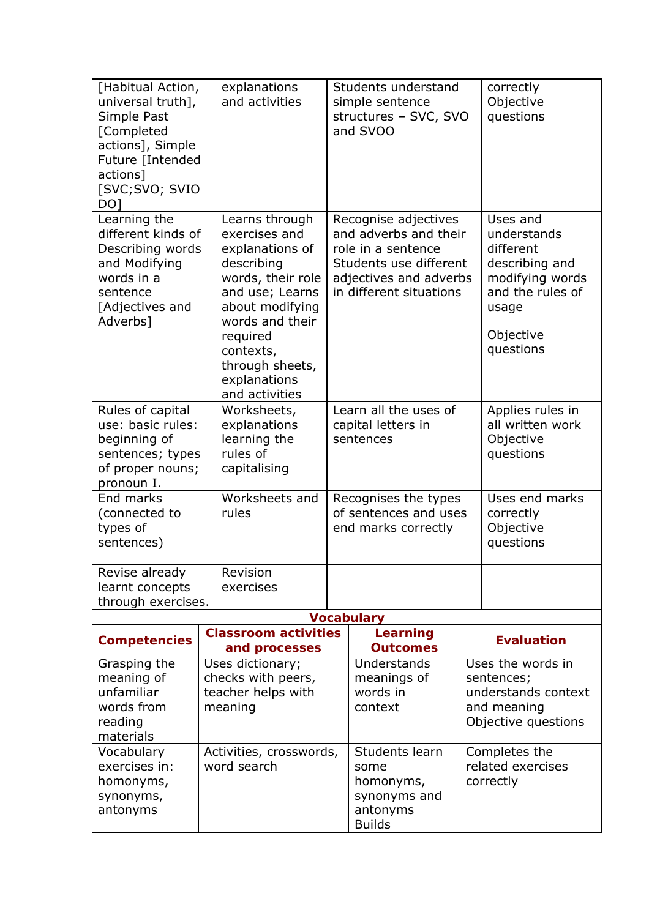| [Habitual Action,<br>universal truth],<br>Simple Past<br>[Completed<br>actions], Simple<br>Future [Intended<br>actions]<br>[SVC;SVO; SVIO<br>DO <sub>1</sub> | explanations<br>and activities                                                                                                                                                                                               | Students understand<br>simple sentence<br>structures - SVC, SVO<br>and SVOO                                                                        |                                                                                                                                     |                                                                                                                                  | correctly<br>Objective<br>questions                                                          |  |
|--------------------------------------------------------------------------------------------------------------------------------------------------------------|------------------------------------------------------------------------------------------------------------------------------------------------------------------------------------------------------------------------------|----------------------------------------------------------------------------------------------------------------------------------------------------|-------------------------------------------------------------------------------------------------------------------------------------|----------------------------------------------------------------------------------------------------------------------------------|----------------------------------------------------------------------------------------------|--|
| Learning the<br>different kinds of<br>Describing words<br>and Modifying<br>words in a<br>sentence<br>[Adjectives and<br>Adverbs]                             | Learns through<br>exercises and<br>explanations of<br>describing<br>words, their role<br>and use; Learns<br>about modifying<br>words and their<br>required<br>contexts,<br>through sheets,<br>explanations<br>and activities | Recognise adjectives<br>and adverbs and their<br>role in a sentence<br>Students use different<br>adjectives and adverbs<br>in different situations |                                                                                                                                     | Uses and<br>understands<br>different<br>describing and<br>modifying words<br>and the rules of<br>usage<br>Objective<br>questions |                                                                                              |  |
| Rules of capital<br>use: basic rules:<br>beginning of<br>sentences; types<br>of proper nouns;<br>pronoun I.                                                  | Worksheets,<br>explanations<br>learning the<br>rules of<br>capitalising                                                                                                                                                      | Learn all the uses of<br>capital letters in<br>sentences                                                                                           |                                                                                                                                     | Applies rules in<br>all written work<br>Objective<br>questions                                                                   |                                                                                              |  |
| End marks<br>(connected to<br>types of<br>sentences)                                                                                                         | Worksheets and<br>rules                                                                                                                                                                                                      | Recognises the types<br>of sentences and uses<br>end marks correctly                                                                               |                                                                                                                                     | Uses end marks<br>correctly<br>Objective<br>questions                                                                            |                                                                                              |  |
| Revise already                                                                                                                                               | Revision                                                                                                                                                                                                                     |                                                                                                                                                    |                                                                                                                                     |                                                                                                                                  |                                                                                              |  |
| learnt concepts<br>through exercises.                                                                                                                        | exercises                                                                                                                                                                                                                    |                                                                                                                                                    |                                                                                                                                     |                                                                                                                                  |                                                                                              |  |
|                                                                                                                                                              |                                                                                                                                                                                                                              |                                                                                                                                                    | <b>Vocabulary</b>                                                                                                                   |                                                                                                                                  |                                                                                              |  |
| <b>Competencies</b>                                                                                                                                          | <b>Classroom activities</b><br>and processes                                                                                                                                                                                 |                                                                                                                                                    | Learning<br><b>Outcomes</b>                                                                                                         |                                                                                                                                  | <b>Evaluation</b>                                                                            |  |
| Grasping the<br>meaning of<br>unfamiliar<br>words from<br>reading<br>materials                                                                               | Uses dictionary;<br>checks with peers,<br>teacher helps with<br>meaning                                                                                                                                                      |                                                                                                                                                    | Understands<br>meanings of<br>words in<br>context                                                                                   |                                                                                                                                  | Uses the words in<br>sentences;<br>understands context<br>and meaning<br>Objective questions |  |
| Vocabulary<br>exercises in:<br>homonyms,<br>synonyms,<br>antonyms                                                                                            | Activities, crosswords,<br>word search                                                                                                                                                                                       |                                                                                                                                                    | Students learn<br>Completes the<br>related exercises<br>some<br>correctly<br>homonyms,<br>synonyms and<br>antonyms<br><b>Builds</b> |                                                                                                                                  |                                                                                              |  |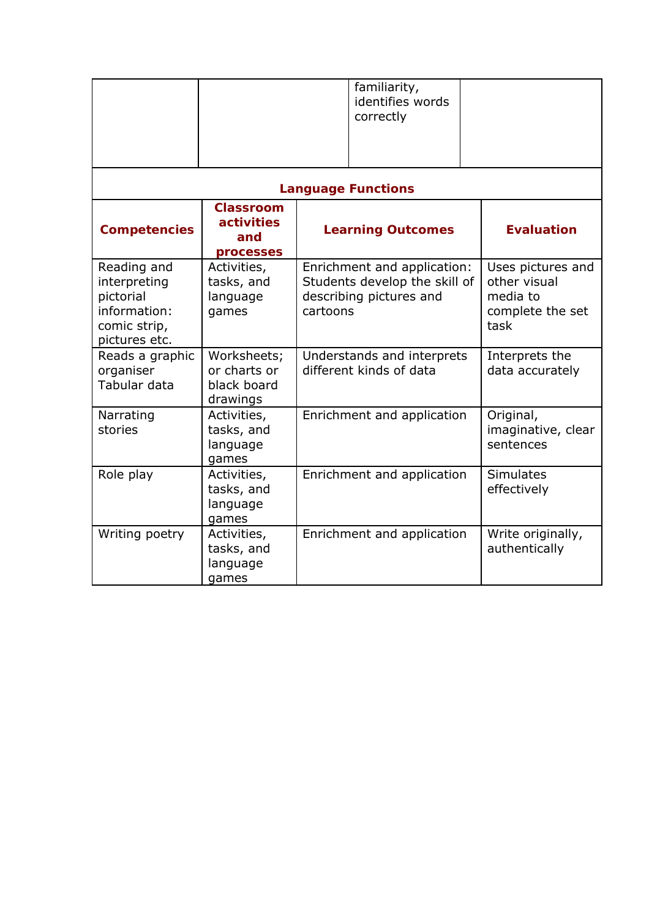|                                                                                           |                                                                                | familiarity,<br>identifies words<br>correctly                                                       |                                                                           |
|-------------------------------------------------------------------------------------------|--------------------------------------------------------------------------------|-----------------------------------------------------------------------------------------------------|---------------------------------------------------------------------------|
|                                                                                           |                                                                                | <b>Language Functions</b>                                                                           |                                                                           |
| <b>Competencies</b>                                                                       | <b>Classroom</b><br>activities<br><b>Learning Outcomes</b><br>and<br>processes |                                                                                                     | <b>Evaluation</b>                                                         |
| Reading and<br>interpreting<br>pictorial<br>information:<br>comic strip,<br>pictures etc. | Activities,<br>tasks, and<br>language<br>games                                 | Enrichment and application:<br>Students develop the skill of<br>describing pictures and<br>cartoons | Uses pictures and<br>other visual<br>media to<br>complete the set<br>task |
| Reads a graphic<br>organiser<br>Tabular data                                              | Worksheets;<br>or charts or<br>black board<br>drawings                         | Understands and interprets<br>different kinds of data                                               | Interprets the<br>data accurately                                         |
| Narrating<br>stories                                                                      | Activities,<br>tasks, and<br>language<br>games                                 | Enrichment and application                                                                          | Original,<br>imaginative, clear<br>sentences                              |
| Role play                                                                                 | Activities,<br>tasks, and<br>language<br>games                                 | Enrichment and application                                                                          | <b>Simulates</b><br>effectively                                           |
| Writing poetry                                                                            | Activities,<br>tasks, and<br>language<br>games                                 | Enrichment and application                                                                          | Write originally,<br>authentically                                        |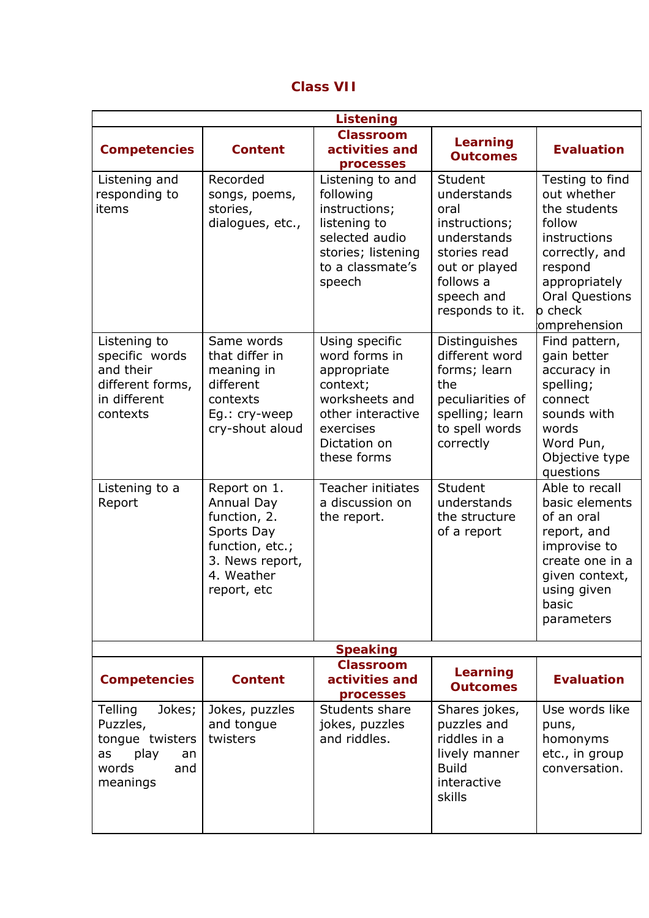## **Class VII**

|                                                                                                  |                                                                                                                             | <b>Listening</b>                                                                                                                              |                                                                                                                                               |                                                                                                                                                                            |
|--------------------------------------------------------------------------------------------------|-----------------------------------------------------------------------------------------------------------------------------|-----------------------------------------------------------------------------------------------------------------------------------------------|-----------------------------------------------------------------------------------------------------------------------------------------------|----------------------------------------------------------------------------------------------------------------------------------------------------------------------------|
| <b>Competencies</b>                                                                              | <b>Content</b>                                                                                                              | <b>Classroom</b><br>activities and<br>processes                                                                                               | Learning<br><b>Outcomes</b>                                                                                                                   | <b>Evaluation</b>                                                                                                                                                          |
| Listening and<br>responding to<br>items                                                          | Recorded<br>songs, poems,<br>stories,<br>dialogues, etc.,                                                                   | Listening to and<br>following<br>instructions;<br>listening to<br>selected audio<br>stories; listening<br>to a classmate's<br>speech          | Student<br>understands<br>oral<br>instructions;<br>understands<br>stories read<br>out or played<br>follows a<br>speech and<br>responds to it. | Testing to find<br>out whether<br>the students<br>follow<br>instructions<br>correctly, and<br>respond<br>appropriately<br><b>Oral Questions</b><br>o check<br>omprehension |
| Listening to<br>specific words<br>and their<br>different forms,<br>in different<br>contexts      | Same words<br>that differ in<br>meaning in<br>different<br>contexts<br>Eg.: cry-weep<br>cry-shout aloud                     | Using specific<br>word forms in<br>appropriate<br>context;<br>worksheets and<br>other interactive<br>exercises<br>Dictation on<br>these forms | Distinguishes<br>different word<br>forms; learn<br>the<br>peculiarities of<br>spelling; learn<br>to spell words<br>correctly                  | Find pattern,<br>gain better<br>accuracy in<br>spelling;<br>connect<br>sounds with<br>words<br>Word Pun,<br>Objective type<br>questions                                    |
| Listening to a<br>Report                                                                         | Report on 1.<br>Annual Day<br>function, 2.<br>Sports Day<br>function, etc.;<br>3. News report,<br>4. Weather<br>report, etc | <b>Teacher initiates</b><br>a discussion on<br>the report.                                                                                    | Student<br>understands<br>the structure<br>of a report                                                                                        | Able to recall<br>basic elements<br>of an oral<br>report, and<br>improvise to<br>create one in a<br>given context,<br>using given<br>basic<br>parameters                   |
|                                                                                                  |                                                                                                                             | <b>Speaking</b>                                                                                                                               |                                                                                                                                               |                                                                                                                                                                            |
| <b>Competencies</b>                                                                              | <b>Content</b>                                                                                                              | <b>Classroom</b><br>activities and<br>processes                                                                                               | Learning<br><b>Outcomes</b>                                                                                                                   | <b>Evaluation</b>                                                                                                                                                          |
| Telling<br>Jokes;<br>Puzzles,<br>tongue twisters<br>play<br>as<br>an<br>words<br>and<br>meanings | Jokes, puzzles<br>and tongue<br>twisters                                                                                    | Students share<br>jokes, puzzles<br>and riddles.                                                                                              | Shares jokes,<br>puzzles and<br>riddles in a<br>lively manner<br><b>Build</b><br>interactive<br>skills                                        | Use words like<br>puns,<br>homonyms<br>etc., in group<br>conversation.                                                                                                     |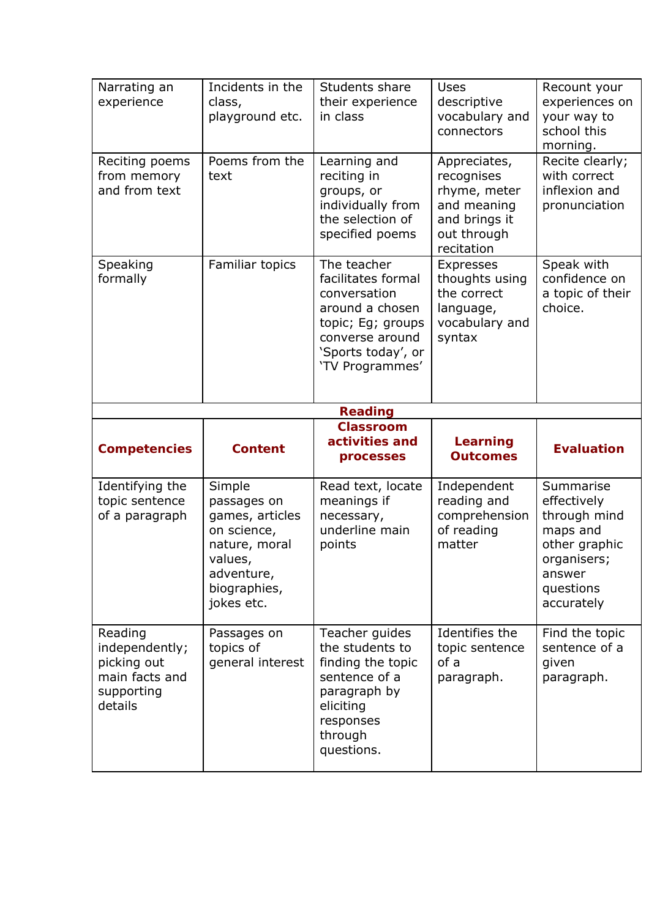| Narrating an<br>experience                          | Incidents in the<br>class,<br>playground etc.                                                                                   | Students share<br>their experience<br>in class                                                                                                        | Uses<br>descriptive<br>vocabulary and<br>connectors                                                     | Recount your<br>experiences on<br>your way to<br>school this<br>morning.                                                  |  |
|-----------------------------------------------------|---------------------------------------------------------------------------------------------------------------------------------|-------------------------------------------------------------------------------------------------------------------------------------------------------|---------------------------------------------------------------------------------------------------------|---------------------------------------------------------------------------------------------------------------------------|--|
| Reciting poems<br>from memory<br>and from text      | Poems from the<br>text                                                                                                          | Learning and<br>reciting in<br>groups, or<br>individually from<br>the selection of<br>specified poems                                                 | Appreciates,<br>recognises<br>rhyme, meter<br>and meaning<br>and brings it<br>out through<br>recitation | Recite clearly;<br>with correct<br>inflexion and<br>pronunciation                                                         |  |
| Speaking<br>formally                                | Familiar topics                                                                                                                 | The teacher<br>facilitates formal<br>conversation<br>around a chosen<br>topic; Eg; groups<br>converse around<br>'Sports today', or<br>'TV Programmes' | <b>Expresses</b><br>thoughts using<br>the correct<br>language,<br>vocabulary and<br>syntax              | Speak with<br>confidence on<br>a topic of their<br>choice.                                                                |  |
|                                                     |                                                                                                                                 | <b>Reading</b>                                                                                                                                        |                                                                                                         |                                                                                                                           |  |
| <b>Classroom</b>                                    |                                                                                                                                 |                                                                                                                                                       |                                                                                                         |                                                                                                                           |  |
|                                                     |                                                                                                                                 |                                                                                                                                                       |                                                                                                         |                                                                                                                           |  |
| <b>Competencies</b>                                 | <b>Content</b>                                                                                                                  | activities and<br>processes                                                                                                                           | Learning<br><b>Outcomes</b>                                                                             | <b>Evaluation</b>                                                                                                         |  |
| Identifying the<br>topic sentence<br>of a paragraph | Simple<br>passages on<br>games, articles<br>on science,<br>nature, moral<br>values,<br>adventure,<br>biographies,<br>jokes etc. | Read text, locate<br>meanings if<br>necessary,<br>underline main<br>points                                                                            | Independent<br>reading and<br>comprehension<br>of reading<br>matter                                     | Summarise<br>effectively<br>through mind<br>maps and<br>other graphic<br>organisers;<br>answer<br>questions<br>accurately |  |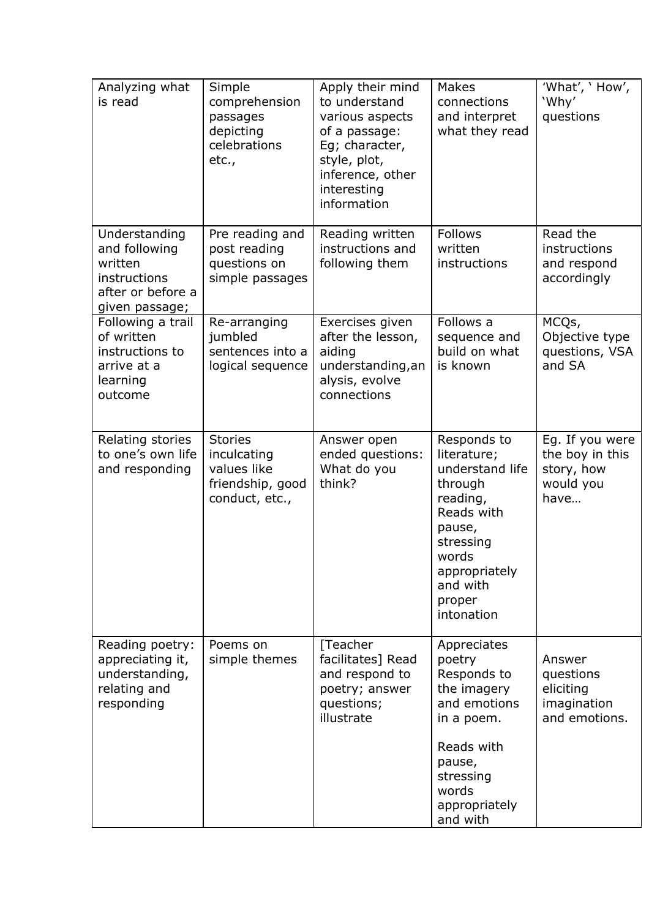| Analyzing what<br>is read                                                                        | Simple<br>comprehension<br>passages<br>depicting<br>celebrations<br>etc.,          | Apply their mind<br>to understand<br>various aspects<br>of a passage:<br>Eg; character,<br>style, plot,<br>inference, other<br>interesting<br>information | Makes<br>connections<br>and interpret<br>what they read                                                                                                                 | What', 'How',<br>'Why'<br>questions                                   |
|--------------------------------------------------------------------------------------------------|------------------------------------------------------------------------------------|-----------------------------------------------------------------------------------------------------------------------------------------------------------|-------------------------------------------------------------------------------------------------------------------------------------------------------------------------|-----------------------------------------------------------------------|
| Understanding<br>and following<br>written<br>instructions<br>after or before a<br>given passage; | Pre reading and<br>post reading<br>questions on<br>simple passages                 | Reading written<br>instructions and<br>following them                                                                                                     | <b>Follows</b><br>written<br>instructions                                                                                                                               | Read the<br>instructions<br>and respond<br>accordingly                |
| Following a trail<br>of written<br>instructions to<br>arrive at a<br>learning<br>outcome         | Re-arranging<br>jumbled<br>sentences into a<br>logical sequence                    | Exercises given<br>after the lesson,<br>aiding<br>understanding, an<br>alysis, evolve<br>connections                                                      | Follows a<br>sequence and<br>build on what<br>is known                                                                                                                  | MCQs,<br>Objective type<br>questions, VSA<br>and SA                   |
| Relating stories<br>to one's own life<br>and responding                                          | <b>Stories</b><br>inculcating<br>values like<br>friendship, good<br>conduct, etc., | Answer open<br>ended questions:<br>What do you<br>think?                                                                                                  | Responds to<br>literature;<br>understand life<br>through<br>reading,<br>Reads with<br>pause,<br>stressing<br>words<br>appropriately<br>and with<br>proper<br>intonation | Eg. If you were<br>the boy in this<br>story, how<br>would you<br>have |
| Reading poetry:<br>appreciating it,<br>understanding,<br>relating and<br>responding              | Poems on<br>simple themes                                                          | [Teacher<br>facilitates] Read<br>and respond to<br>poetry; answer<br>questions;<br>illustrate                                                             | Appreciates<br>poetry<br>Responds to<br>the imagery<br>and emotions<br>in a poem.<br>Reads with<br>pause,<br>stressing<br>words<br>appropriately<br>and with            | Answer<br>questions<br>eliciting<br>imagination<br>and emotions.      |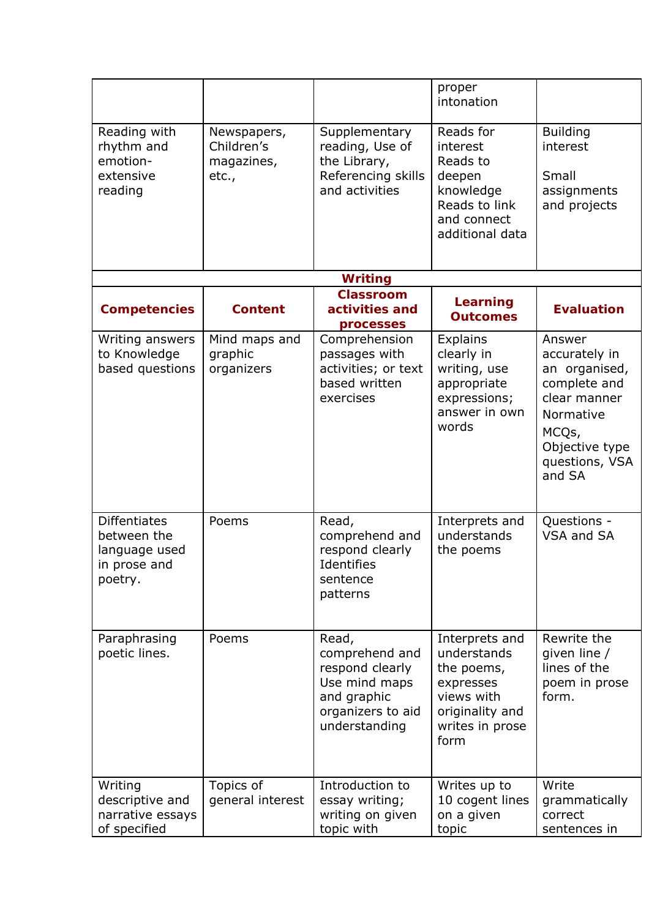|                                                                                |                                                  |                                                                                                                  | proper<br>intonation                                                                                                 |                                                                                                                                              |
|--------------------------------------------------------------------------------|--------------------------------------------------|------------------------------------------------------------------------------------------------------------------|----------------------------------------------------------------------------------------------------------------------|----------------------------------------------------------------------------------------------------------------------------------------------|
| Reading with<br>rhythm and<br>emotion-<br>extensive<br>reading                 | Newspapers,<br>Children's<br>magazines,<br>etc., | Supplementary<br>reading, Use of<br>the Library,<br>Referencing skills<br>and activities                         | Reads for<br>interest<br>Reads to<br>deepen<br>knowledge<br>Reads to link<br>and connect<br>additional data          | <b>Building</b><br>interest<br>Small<br>assignments<br>and projects                                                                          |
|                                                                                |                                                  | <b>Writing</b>                                                                                                   |                                                                                                                      |                                                                                                                                              |
| <b>Competencies</b>                                                            | <b>Content</b>                                   | <b>Classroom</b><br>activities and<br>processes                                                                  | Learning<br><b>Outcomes</b>                                                                                          | <b>Evaluation</b>                                                                                                                            |
| Writing answers<br>to Knowledge<br>based questions                             | Mind maps and<br>graphic<br>organizers           | Comprehension<br>passages with<br>activities; or text<br>based written<br>exercises                              | <b>Explains</b><br>clearly in<br>writing, use<br>appropriate<br>expressions;<br>answer in own<br>words               | Answer<br>accurately in<br>an organised,<br>complete and<br>clear manner<br>Normative<br>MCQs,<br>Objective type<br>questions, VSA<br>and SA |
| <b>Diffentiates</b><br>between the<br>language used<br>in prose and<br>poetry. | Poems                                            | Read,<br>comprehend and<br>respond clearly<br>Identifies<br>sentence<br>patterns                                 | Interprets and<br>understands<br>the poems                                                                           | Questions -<br>VSA and SA                                                                                                                    |
| Paraphrasing<br>poetic lines.                                                  | Poems                                            | Read,<br>comprehend and<br>respond clearly<br>Use mind maps<br>and graphic<br>organizers to aid<br>understanding | Interprets and<br>understands<br>the poems,<br>expresses<br>views with<br>originality and<br>writes in prose<br>form | Rewrite the<br>qiven line /<br>lines of the<br>poem in prose<br>form.                                                                        |
| Writing<br>descriptive and<br>narrative essays<br>of specified                 | Topics of<br>general interest                    | Introduction to<br>essay writing;<br>writing on given<br>topic with                                              | Writes up to<br>10 cogent lines<br>on a given<br>topic                                                               | Write<br>grammatically<br>correct<br>sentences in                                                                                            |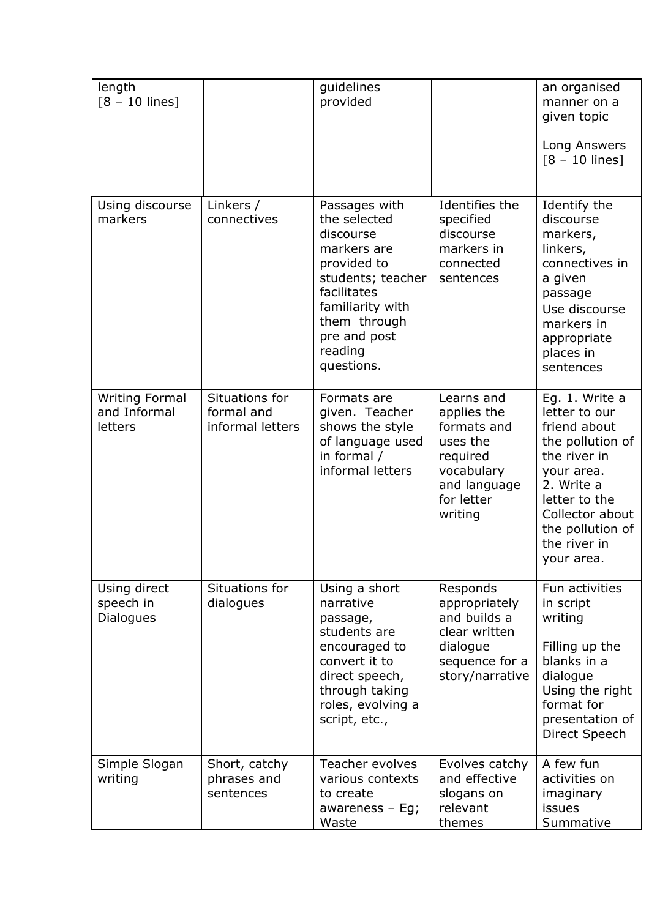| length<br>$[8 - 10$ lines]                       |                                                  | guidelines<br>provided                                                                                                                                                                    |                                                                                                                         | an organised<br>manner on a<br>given topic<br>Long Answers<br>$[8 - 10$ lines]                                                                                                                        |
|--------------------------------------------------|--------------------------------------------------|-------------------------------------------------------------------------------------------------------------------------------------------------------------------------------------------|-------------------------------------------------------------------------------------------------------------------------|-------------------------------------------------------------------------------------------------------------------------------------------------------------------------------------------------------|
| Using discourse<br>markers                       | Linkers /<br>connectives                         | Passages with<br>the selected<br>discourse<br>markers are<br>provided to<br>students; teacher<br>facilitates<br>familiarity with<br>them through<br>pre and post<br>reading<br>questions. | Identifies the<br>specified<br>discourse<br>markers in<br>connected<br>sentences                                        | Identify the<br>discourse<br>markers,<br>linkers,<br>connectives in<br>a given<br>passage<br>Use discourse<br>markers in<br>appropriate<br>places in<br>sentences                                     |
| <b>Writing Formal</b><br>and Informal<br>letters | Situations for<br>formal and<br>informal letters | Formats are<br>given. Teacher<br>shows the style<br>of language used<br>in formal /<br>informal letters                                                                                   | Learns and<br>applies the<br>formats and<br>uses the<br>required<br>vocabulary<br>and language<br>for letter<br>writing | Eg. 1. Write a<br>letter to our<br>friend about<br>the pollution of<br>the river in<br>your area.<br>2. Write a<br>letter to the<br>Collector about<br>the pollution of<br>the river in<br>your area. |
| Using direct<br>speech in<br><b>Dialogues</b>    | Situations for<br>dialogues                      | Using a short<br>narrative<br>passage,<br>students are<br>encouraged to<br>convert it to<br>direct speech,<br>through taking<br>roles, evolving a<br>script, etc.,                        | Responds<br>appropriately<br>and builds a<br>clear written<br>dialogue<br>sequence for a<br>story/narrative             | Fun activities<br>in script<br>writing<br>Filling up the<br>blanks in a<br>dialogue<br>Using the right<br>format for<br>presentation of<br>Direct Speech                                              |
| Simple Slogan<br>writing                         | Short, catchy<br>phrases and<br>sentences        | <b>Teacher evolves</b><br>various contexts<br>to create<br>awareness $-$ Eg;<br>Waste                                                                                                     | Evolves catchy<br>and effective<br>slogans on<br>relevant<br>themes                                                     | A few fun<br>activities on<br>imaginary<br>issues<br>Summative                                                                                                                                        |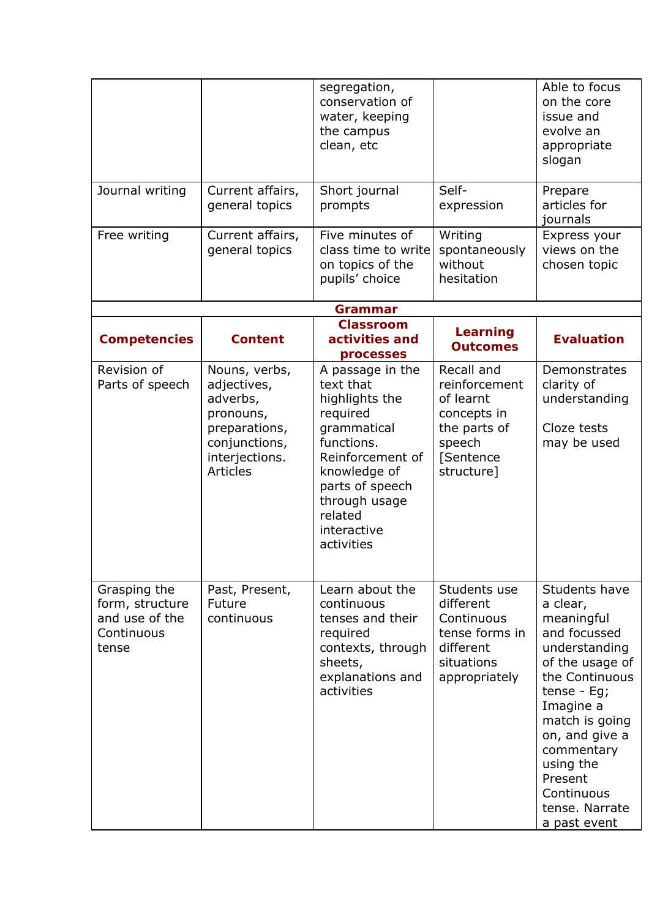|                                                                          |                                                                                                                              | segregation,<br>conservation of<br>water, keeping<br>the campus<br>clean, etc                                                                                                                            |                                                                                                              | Able to focus<br>on the core<br>issue and<br>evolve an<br>appropriate<br>slogan                                                                                                                                                                                        |
|--------------------------------------------------------------------------|------------------------------------------------------------------------------------------------------------------------------|----------------------------------------------------------------------------------------------------------------------------------------------------------------------------------------------------------|--------------------------------------------------------------------------------------------------------------|------------------------------------------------------------------------------------------------------------------------------------------------------------------------------------------------------------------------------------------------------------------------|
| Journal writing                                                          | Current affairs,<br>general topics                                                                                           | Short journal<br>prompts                                                                                                                                                                                 | Self-<br>expression                                                                                          | Prepare<br>articles for<br>journals                                                                                                                                                                                                                                    |
| Free writing                                                             | Current affairs,<br>general topics                                                                                           | Five minutes of<br>class time to write<br>on topics of the<br>pupils' choice                                                                                                                             | Writing<br>spontaneously<br>without<br>hesitation                                                            | Express your<br>views on the<br>chosen topic                                                                                                                                                                                                                           |
|                                                                          |                                                                                                                              | <b>Grammar</b>                                                                                                                                                                                           |                                                                                                              |                                                                                                                                                                                                                                                                        |
| <b>Competencies</b>                                                      | <b>Content</b>                                                                                                               | <b>Classroom</b><br>activities and<br>processes                                                                                                                                                          | Learning<br><b>Outcomes</b>                                                                                  | <b>Evaluation</b>                                                                                                                                                                                                                                                      |
| Revision of<br>Parts of speech                                           | Nouns, verbs,<br>adjectives,<br>adverbs,<br>pronouns,<br>preparations,<br>conjunctions,<br>interjections.<br><b>Articles</b> | A passage in the<br>text that<br>highlights the<br>required<br>grammatical<br>functions.<br>Reinforcement of<br>knowledge of<br>parts of speech<br>through usage<br>related<br>interactive<br>activities | Recall and<br>reinforcement<br>of learnt<br>concepts in<br>the parts of<br>speech<br>[Sentence<br>structure] | Demonstrates<br>clarity of<br>understanding<br>Cloze tests<br>may be used                                                                                                                                                                                              |
| Grasping the<br>form, structure<br>and use of the<br>Continuous<br>tense | Past, Present,<br>Future<br>continuous                                                                                       | Learn about the<br>continuous<br>tenses and their<br>required<br>contexts, through<br>sheets,<br>explanations and<br>activities                                                                          | Students use<br>different<br>Continuous<br>tense forms in<br>different<br>situations<br>appropriately        | Students have<br>a clear,<br>meaningful<br>and focussed<br>understanding<br>of the usage of<br>the Continuous<br>tense - $Eg$ ;<br>Imagine a<br>match is going<br>on, and give a<br>commentary<br>using the<br>Present<br>Continuous<br>tense. Narrate<br>a past event |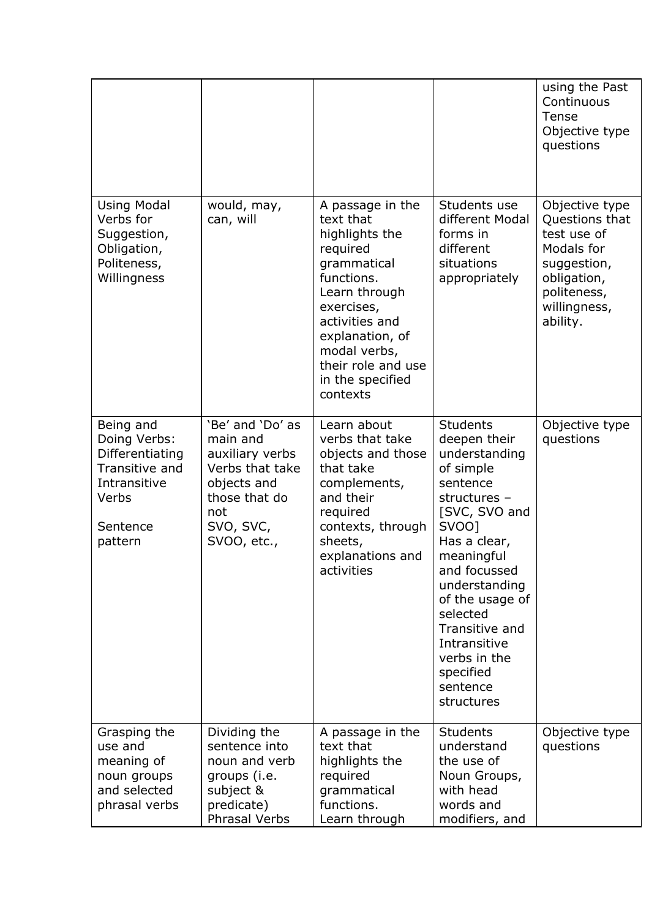|                                                                                                                |                                                                                                                                       |                                                                                                                                                                                                                                    |                                                                                                                                                                                                                                                                                                            | using the Past<br>Continuous<br>Tense<br>Objective type<br>questions                                                                   |
|----------------------------------------------------------------------------------------------------------------|---------------------------------------------------------------------------------------------------------------------------------------|------------------------------------------------------------------------------------------------------------------------------------------------------------------------------------------------------------------------------------|------------------------------------------------------------------------------------------------------------------------------------------------------------------------------------------------------------------------------------------------------------------------------------------------------------|----------------------------------------------------------------------------------------------------------------------------------------|
| <b>Using Modal</b><br>Verbs for<br>Suggestion,<br>Obligation,<br>Politeness,<br>Willingness                    | would, may,<br>can, will                                                                                                              | A passage in the<br>text that<br>highlights the<br>required<br>grammatical<br>functions.<br>Learn through<br>exercises,<br>activities and<br>explanation, of<br>modal verbs,<br>their role and use<br>in the specified<br>contexts | Students use<br>different Modal<br>forms in<br>different<br>situations<br>appropriately                                                                                                                                                                                                                    | Objective type<br>Questions that<br>test use of<br>Modals for<br>suggestion,<br>obligation,<br>politeness,<br>willingness,<br>ability. |
| Being and<br>Doing Verbs:<br>Differentiating<br>Transitive and<br>Intransitive<br>Verbs<br>Sentence<br>pattern | 'Be' and 'Do' as<br>main and<br>auxiliary verbs<br>Verbs that take<br>objects and<br>those that do<br>not<br>SVO, SVC,<br>SVOO, etc., | Learn about<br>verbs that take<br>objects and those<br>that take<br>complements,<br>and their<br>required<br>contexts, through<br>sheets,<br>explanations and<br>activities                                                        | <b>Students</b><br>deepen their<br>understanding<br>of simple<br>sentence<br>structures -<br>[SVC, SVO and<br>SV00]<br>Has a clear,<br>meaningful<br>and focussed<br>understanding<br>of the usage of<br>selected<br>Transitive and<br>Intransitive<br>verbs in the<br>specified<br>sentence<br>structures | Objective type<br>questions                                                                                                            |
| Grasping the<br>use and<br>meaning of<br>noun groups<br>and selected<br>phrasal verbs                          | Dividing the<br>sentence into<br>noun and verb<br>groups (i.e.<br>subject &<br>predicate)<br>Phrasal Verbs                            | A passage in the<br>text that<br>highlights the<br>required<br>grammatical<br>functions.<br>Learn through                                                                                                                          | <b>Students</b><br>understand<br>the use of<br>Noun Groups,<br>with head<br>words and<br>modifiers, and                                                                                                                                                                                                    | Objective type<br>questions                                                                                                            |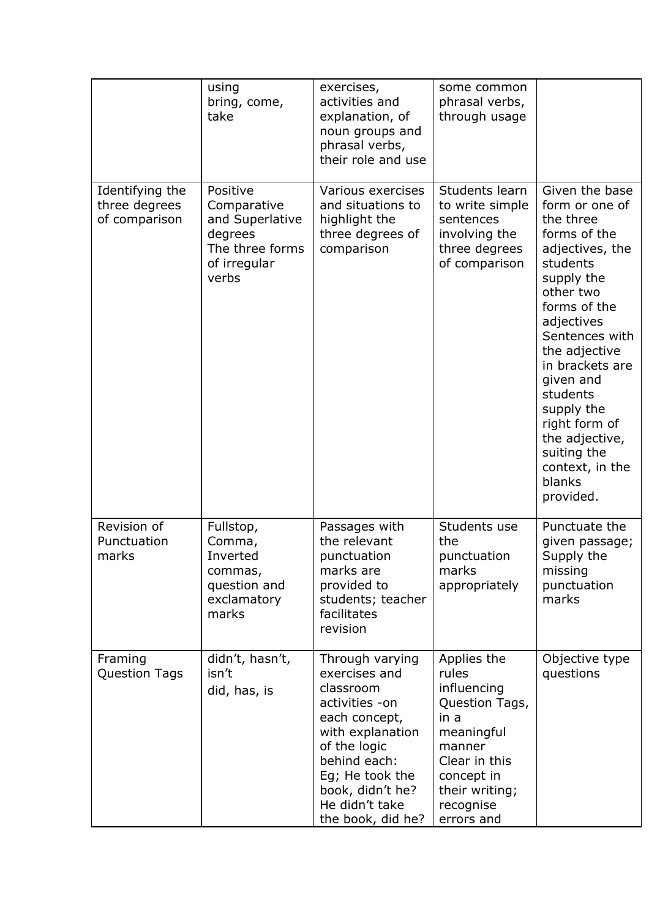|                                                   | using<br>bring, come,<br>take                                                                     | exercises,<br>activities and<br>explanation, of<br>noun groups and<br>phrasal verbs,<br>their role and use                                                                                                         | some common<br>phrasal verbs,<br>through usage                                                                                                                    |                                                                                                                                                                                                                                                                                                                                                |
|---------------------------------------------------|---------------------------------------------------------------------------------------------------|--------------------------------------------------------------------------------------------------------------------------------------------------------------------------------------------------------------------|-------------------------------------------------------------------------------------------------------------------------------------------------------------------|------------------------------------------------------------------------------------------------------------------------------------------------------------------------------------------------------------------------------------------------------------------------------------------------------------------------------------------------|
| Identifying the<br>three degrees<br>of comparison | Positive<br>Comparative<br>and Superlative<br>degrees<br>The three forms<br>of irregular<br>verbs | Various exercises<br>and situations to<br>highlight the<br>three degrees of<br>comparison                                                                                                                          | Students learn<br>to write simple<br>sentences<br>involving the<br>three degrees<br>of comparison                                                                 | Given the base<br>form or one of<br>the three<br>forms of the<br>adjectives, the<br>students<br>supply the<br>other two<br>forms of the<br>adjectives<br>Sentences with<br>the adjective<br>in brackets are<br>given and<br>students<br>supply the<br>right form of<br>the adjective,<br>suiting the<br>context, in the<br>blanks<br>provided. |
| Revision of<br>Punctuation<br>marks               | Fullstop,<br>Comma,<br>Inverted<br>commas,<br>question and<br>exclamatory<br>marks                | Passages with<br>the relevant<br>punctuation<br>marks are<br>provided to<br>students; teacher<br>facilitates<br>revision                                                                                           | Students use<br>the<br>punctuation<br>marks<br>appropriately                                                                                                      | Punctuate the<br>given passage;<br>Supply the<br>missing<br>punctuation<br>marks                                                                                                                                                                                                                                                               |
| Framing<br><b>Question Tags</b>                   | didn't, hasn't,<br>isn't<br>did, has, is                                                          | Through varying<br>exercises and<br>classroom<br>activities -on<br>each concept,<br>with explanation<br>of the logic<br>behind each:<br>Eg; He took the<br>book, didn't he?<br>He didn't take<br>the book, did he? | Applies the<br>rules<br>influencing<br>Question Tags,<br>in a<br>meaningful<br>manner<br>Clear in this<br>concept in<br>their writing;<br>recognise<br>errors and | Objective type<br>questions                                                                                                                                                                                                                                                                                                                    |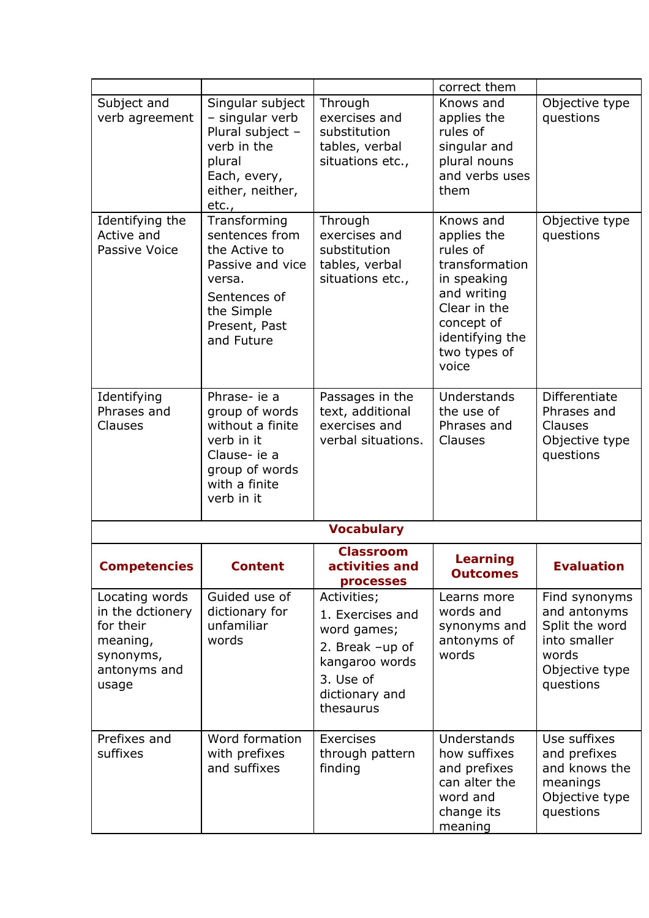|                                                                                                   |                                                                                                                                            |                                                                                                                                 | correct them                                                                                                                                                   |                                                                                                         |
|---------------------------------------------------------------------------------------------------|--------------------------------------------------------------------------------------------------------------------------------------------|---------------------------------------------------------------------------------------------------------------------------------|----------------------------------------------------------------------------------------------------------------------------------------------------------------|---------------------------------------------------------------------------------------------------------|
| Subject and<br>verb agreement                                                                     | Singular subject<br>- singular verb<br>Plural subject -<br>verb in the<br>plural<br>Each, every,<br>either, neither,<br>etc.,              | Through<br>exercises and<br>substitution<br>tables, verbal<br>situations etc.,                                                  | Knows and<br>applies the<br>rules of<br>singular and<br>plural nouns<br>and verbs uses<br>them                                                                 | Objective type<br>questions                                                                             |
| Identifying the<br>Active and<br>Passive Voice                                                    | Transforming<br>sentences from<br>the Active to<br>Passive and vice<br>versa.<br>Sentences of<br>the Simple<br>Present, Past<br>and Future | Through<br>exercises and<br>substitution<br>tables, verbal<br>situations etc.,                                                  | Knows and<br>applies the<br>rules of<br>transformation<br>in speaking<br>and writing<br>Clear in the<br>concept of<br>identifying the<br>two types of<br>voice | Objective type<br>questions                                                                             |
| Identifying<br>Phrases and<br>Clauses                                                             | Phrase- ie a<br>group of words<br>without a finite<br>verb in it<br>Clause- ie a<br>group of words<br>with a finite<br>verb in it          | Passages in the<br>text, additional<br>exercises and<br>verbal situations.                                                      | Understands<br>the use of<br>Phrases and<br>Clauses                                                                                                            | <b>Differentiate</b><br>Phrases and<br>Clauses<br>Objective type<br>questions                           |
|                                                                                                   |                                                                                                                                            | <b>Vocabulary</b>                                                                                                               |                                                                                                                                                                |                                                                                                         |
| <b>Competencies</b>                                                                               | Content                                                                                                                                    | <b>Classroom</b><br>activities and<br>processes                                                                                 | Learning<br><b>Outcomes</b>                                                                                                                                    | <b>Evaluation</b>                                                                                       |
| Locating words<br>in the dctionery<br>for their<br>meaning,<br>synonyms,<br>antonyms and<br>usage | Guided use of<br>dictionary for<br>unfamiliar<br>words                                                                                     | Activities;<br>1. Exercises and<br>word games;<br>2. Break -up of<br>kangaroo words<br>3. Use of<br>dictionary and<br>thesaurus | Learns more<br>words and<br>synonyms and<br>antonyms of<br>words                                                                                               | Find synonyms<br>and antonyms<br>Split the word<br>into smaller<br>words<br>Objective type<br>questions |
| Prefixes and<br>suffixes                                                                          | Word formation<br>with prefixes<br>and suffixes                                                                                            | Exercises<br>through pattern<br>finding                                                                                         | Understands<br>how suffixes<br>and prefixes<br>can alter the<br>word and<br>change its<br>meaning                                                              | Use suffixes<br>and prefixes<br>and knows the<br>meanings<br>Objective type<br>questions                |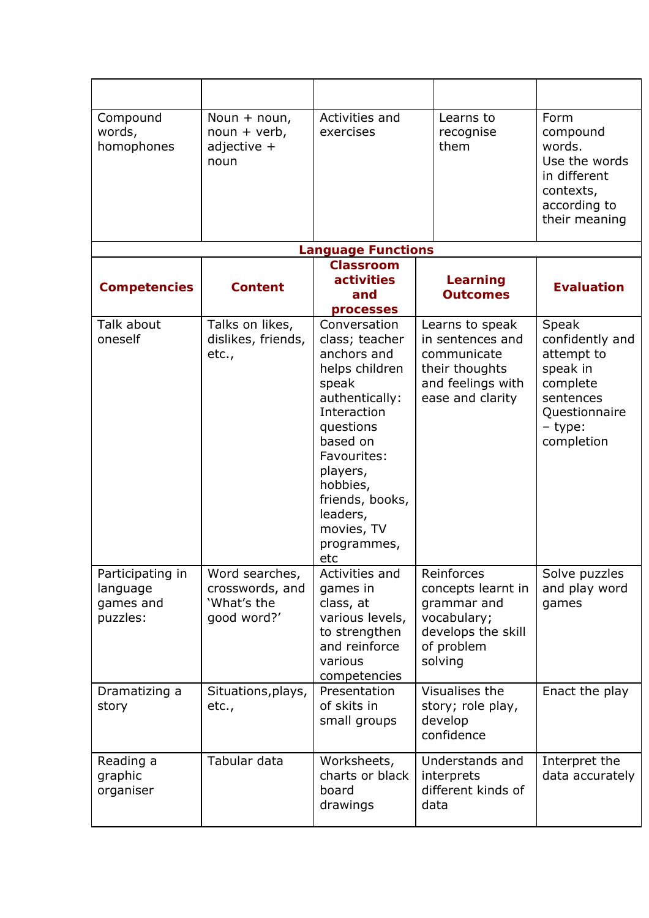| Compound<br>words,<br>homophones                      | Noun $+$ noun,<br>$noun + verb,$<br>adjective $+$<br>noun       | Activities and<br>exercises                                                                                                                                                                                                                  | Learns to<br>recognise<br>them                                                                                | Form<br>compound<br>words.<br>Use the words<br>in different<br>contexts,<br>according to<br>their meaning             |
|-------------------------------------------------------|-----------------------------------------------------------------|----------------------------------------------------------------------------------------------------------------------------------------------------------------------------------------------------------------------------------------------|---------------------------------------------------------------------------------------------------------------|-----------------------------------------------------------------------------------------------------------------------|
|                                                       |                                                                 | <b>Language Functions</b>                                                                                                                                                                                                                    |                                                                                                               |                                                                                                                       |
| <b>Competencies</b>                                   | <b>Content</b>                                                  | <b>Classroom</b><br>activities<br>and<br>processes                                                                                                                                                                                           | Learning<br><b>Outcomes</b>                                                                                   | <b>Evaluation</b>                                                                                                     |
| Talk about<br>oneself                                 | Talks on likes,<br>dislikes, friends,<br>etc.,                  | Conversation<br>class; teacher<br>anchors and<br>helps children<br>speak<br>authentically:<br>Interaction<br>questions<br>based on<br>Favourites:<br>players,<br>hobbies,<br>friends, books,<br>leaders,<br>movies, TV<br>programmes,<br>etc | Learns to speak<br>in sentences and<br>communicate<br>their thoughts<br>and feelings with<br>ease and clarity | Speak<br>confidently and<br>attempt to<br>speak in<br>complete<br>sentences<br>Questionnaire<br>- type:<br>completion |
| Participating in<br>language<br>games and<br>puzzles: | Word searches,<br>crosswords, and<br>'What's the<br>good word?' | Activities and<br>games in<br>class, at<br>various levels,<br>to strengthen<br>and reinforce<br>various<br>competencies                                                                                                                      | Reinforces<br>concepts learnt in<br>grammar and<br>vocabulary;<br>develops the skill<br>of problem<br>solving | Solve puzzles<br>and play word<br>games                                                                               |
| Dramatizing a<br>story                                | Situations, plays,<br>etc.,                                     | Presentation<br>of skits in<br>small groups                                                                                                                                                                                                  | Visualises the<br>story; role play,<br>develop<br>confidence                                                  | Enact the play                                                                                                        |
| Reading a<br>graphic<br>organiser                     | Tabular data                                                    | Worksheets,<br>charts or black<br>board<br>drawings                                                                                                                                                                                          | Understands and<br>interprets<br>different kinds of<br>data                                                   | Interpret the<br>data accurately                                                                                      |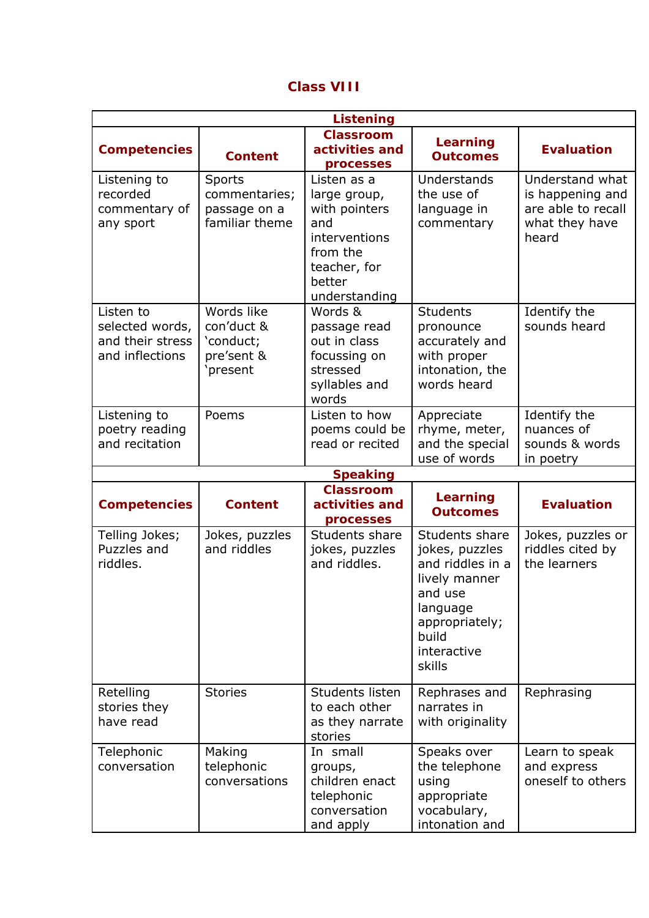| <b>Class VIII</b> |  |
|-------------------|--|
|-------------------|--|

|                                                                     | <b>Listening</b>                                               |                                                                                                                             |                                                                                                                                                  |                                                                                      |  |
|---------------------------------------------------------------------|----------------------------------------------------------------|-----------------------------------------------------------------------------------------------------------------------------|--------------------------------------------------------------------------------------------------------------------------------------------------|--------------------------------------------------------------------------------------|--|
| <b>Competencies</b>                                                 | <b>Content</b>                                                 | <b>Classroom</b><br>activities and<br>processes                                                                             | Learning<br><b>Outcomes</b>                                                                                                                      | <b>Evaluation</b>                                                                    |  |
| Listening to<br>recorded<br>commentary of<br>any sport              | Sports<br>commentaries;<br>passage on a<br>familiar theme      | Listen as a<br>large group,<br>with pointers<br>and<br>interventions<br>from the<br>teacher, for<br>better<br>understanding | Understands<br>the use of<br>language in<br>commentary                                                                                           | Understand what<br>is happening and<br>are able to recall<br>what they have<br>heard |  |
| Listen to<br>selected words,<br>and their stress<br>and inflections | Words like<br>con'duct &<br>'conduct;<br>pre'sent &<br>present | Words &<br>passage read<br>out in class<br>focussing on<br>stressed<br>syllables and<br>words                               | <b>Students</b><br>pronounce<br>accurately and<br>with proper<br>intonation, the<br>words heard                                                  | Identify the<br>sounds heard                                                         |  |
| Listening to<br>poetry reading<br>and recitation                    | Poems                                                          | Listen to how<br>poems could be<br>read or recited                                                                          | Appreciate<br>rhyme, meter,<br>and the special<br>use of words                                                                                   | Identify the<br>nuances of<br>sounds & words<br>in poetry                            |  |
|                                                                     |                                                                | <b>Speaking</b>                                                                                                             |                                                                                                                                                  |                                                                                      |  |
| <b>Competencies</b>                                                 | <b>Content</b>                                                 | <b>Classroom</b><br>activities and<br>processes                                                                             | Learning<br><b>Outcomes</b>                                                                                                                      | <b>Evaluation</b>                                                                    |  |
| Telling Jokes;<br>Puzzles and<br>riddles.                           | Jokes, puzzles<br>and riddles                                  | Students share<br>jokes, puzzles<br>and riddles.                                                                            | Students share<br>jokes, puzzles<br>and riddles in a<br>lively manner<br>and use<br>language<br>appropriately;<br>build<br>interactive<br>skills | Jokes, puzzles or<br>riddles cited by<br>the learners                                |  |
| Retelling<br>stories they<br>have read                              | <b>Stories</b>                                                 | Students listen<br>to each other<br>as they narrate<br>stories                                                              | Rephrases and<br>narrates in<br>with originality                                                                                                 | Rephrasing                                                                           |  |
| Telephonic<br>conversation                                          | Making<br>telephonic<br>conversations                          | In small<br>groups,<br>children enact<br>telephonic<br>conversation<br>and apply                                            | Speaks over<br>the telephone<br>using<br>appropriate<br>vocabulary,<br>intonation and                                                            | Learn to speak<br>and express<br>oneself to others                                   |  |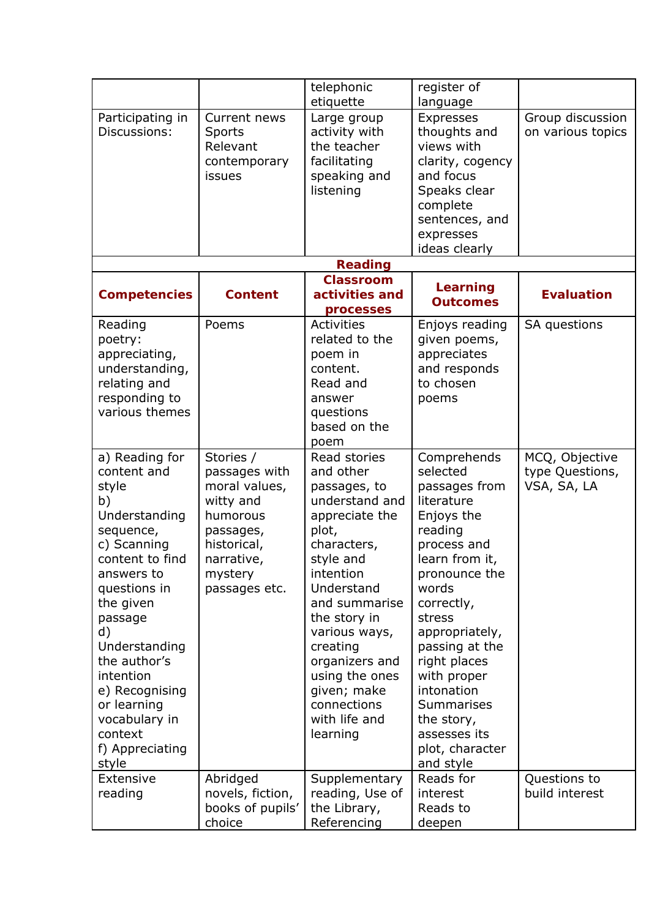|                                                                                                                                                                                                                                                                                                                 |                                                                                                                                            | telephonic                                                                                                                                                                                                                                                                                                 | register of                                                                                                                                                                                                                                                                                                                            |                                                  |
|-----------------------------------------------------------------------------------------------------------------------------------------------------------------------------------------------------------------------------------------------------------------------------------------------------------------|--------------------------------------------------------------------------------------------------------------------------------------------|------------------------------------------------------------------------------------------------------------------------------------------------------------------------------------------------------------------------------------------------------------------------------------------------------------|----------------------------------------------------------------------------------------------------------------------------------------------------------------------------------------------------------------------------------------------------------------------------------------------------------------------------------------|--------------------------------------------------|
|                                                                                                                                                                                                                                                                                                                 |                                                                                                                                            | etiquette                                                                                                                                                                                                                                                                                                  | language                                                                                                                                                                                                                                                                                                                               |                                                  |
| Participating in<br>Discussions:                                                                                                                                                                                                                                                                                | Current news<br>Sports<br>Relevant<br>contemporary<br>issues                                                                               | Large group<br>activity with<br>the teacher<br>facilitating<br>speaking and<br>listening                                                                                                                                                                                                                   | <b>Expresses</b><br>thoughts and<br>views with<br>clarity, cogency<br>and focus<br>Speaks clear<br>complete<br>sentences, and<br>expresses<br>ideas clearly                                                                                                                                                                            | Group discussion<br>on various topics            |
|                                                                                                                                                                                                                                                                                                                 |                                                                                                                                            | <b>Reading</b>                                                                                                                                                                                                                                                                                             |                                                                                                                                                                                                                                                                                                                                        |                                                  |
|                                                                                                                                                                                                                                                                                                                 |                                                                                                                                            | <b>Classroom</b>                                                                                                                                                                                                                                                                                           |                                                                                                                                                                                                                                                                                                                                        |                                                  |
| <b>Competencies</b>                                                                                                                                                                                                                                                                                             | <b>Content</b>                                                                                                                             | activities and<br>processes                                                                                                                                                                                                                                                                                | <b>Learning</b><br><b>Outcomes</b>                                                                                                                                                                                                                                                                                                     | <b>Evaluation</b>                                |
| Reading<br>poetry:<br>appreciating,<br>understanding,<br>relating and<br>responding to<br>various themes                                                                                                                                                                                                        | Poems                                                                                                                                      | Activities<br>related to the<br>poem in<br>content.<br>Read and<br>answer<br>questions<br>based on the<br>poem                                                                                                                                                                                             | Enjoys reading<br>given poems,<br>appreciates<br>and responds<br>to chosen<br>poems                                                                                                                                                                                                                                                    | SA questions                                     |
| a) Reading for<br>content and<br>style<br>b)<br>Understanding<br>sequence,<br>c) Scanning<br>content to find<br>answers to<br>questions in<br>the given<br>passage<br>d)<br>Understanding<br>the author's<br>intention<br>e) Recognising<br>or learning<br>vocabulary in<br>context<br>f) Appreciating<br>style | Stories /<br>passages with<br>moral values,<br>witty and<br>humorous<br>passages,<br>historical,<br>narrative,<br>mystery<br>passages etc. | Read stories<br>and other<br>passages, to<br>understand and<br>appreciate the<br>plot,<br>characters,<br>style and<br>intention<br>Understand<br>and summarise<br>the story in<br>various ways,<br>creating<br>organizers and<br>using the ones<br>given; make<br>connections<br>with life and<br>learning | Comprehends<br>selected<br>passages from<br>literature<br>Enjoys the<br>reading<br>process and<br>learn from it,<br>pronounce the<br>words<br>correctly,<br>stress<br>appropriately,<br>passing at the<br>right places<br>with proper<br>intonation<br><b>Summarises</b><br>the story,<br>assesses its<br>plot, character<br>and style | MCQ, Objective<br>type Questions,<br>VSA, SA, LA |
| <b>Extensive</b><br>reading                                                                                                                                                                                                                                                                                     | Abridged<br>novels, fiction,<br>books of pupils'<br>choice                                                                                 | Supplementary<br>reading, Use of<br>the Library,<br>Referencing                                                                                                                                                                                                                                            | Reads for<br>interest<br>Reads to<br>deepen                                                                                                                                                                                                                                                                                            | Questions to<br>build interest                   |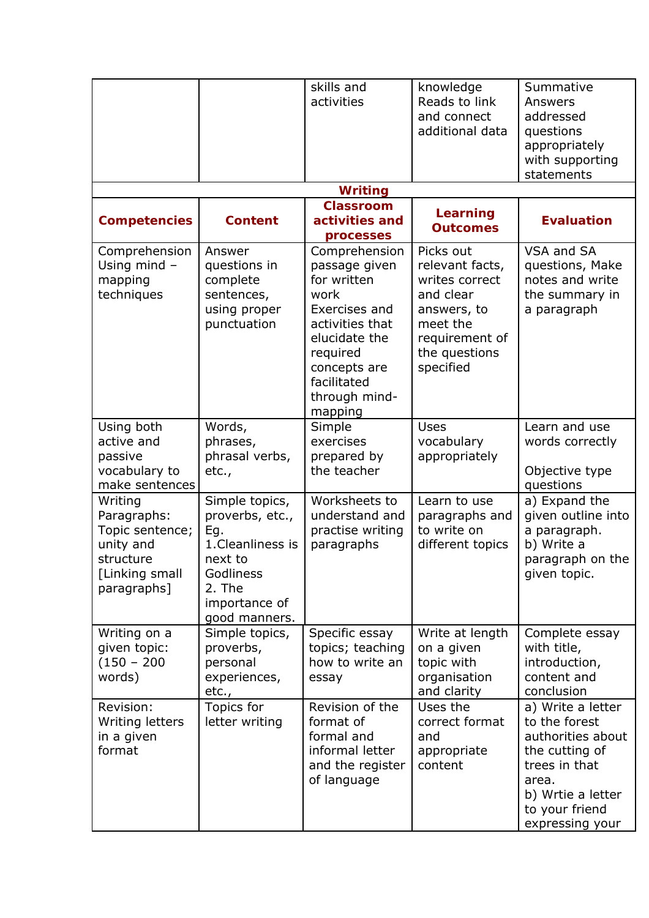|                                                                                                      |                                                                                                                                   | skills and<br>activities                                                                                                                                                          | knowledge<br>Reads to link<br>and connect<br>additional data                                                                           | Summative<br>Answers<br>addressed<br>questions<br>appropriately<br>with supporting<br>statements                                                              |
|------------------------------------------------------------------------------------------------------|-----------------------------------------------------------------------------------------------------------------------------------|-----------------------------------------------------------------------------------------------------------------------------------------------------------------------------------|----------------------------------------------------------------------------------------------------------------------------------------|---------------------------------------------------------------------------------------------------------------------------------------------------------------|
|                                                                                                      |                                                                                                                                   | <b>Writing</b>                                                                                                                                                                    |                                                                                                                                        |                                                                                                                                                               |
| <b>Competencies</b>                                                                                  | <b>Content</b>                                                                                                                    | <b>Classroom</b><br>activities and<br>processes                                                                                                                                   | Learning<br><b>Outcomes</b>                                                                                                            | <b>Evaluation</b>                                                                                                                                             |
| Comprehension<br>Using mind $-$<br>mapping<br>techniques                                             | Answer<br>questions in<br>complete<br>sentences,<br>using proper<br>punctuation                                                   | Comprehension<br>passage given<br>for written<br>work<br>Exercises and<br>activities that<br>elucidate the<br>required<br>concepts are<br>facilitated<br>through mind-<br>mapping | Picks out<br>relevant facts,<br>writes correct<br>and clear<br>answers, to<br>meet the<br>requirement of<br>the questions<br>specified | VSA and SA<br>questions, Make<br>notes and write<br>the summary in<br>a paragraph                                                                             |
| Using both<br>active and<br>passive<br>vocabulary to<br>make sentences                               | Words,<br>phrases,<br>phrasal verbs,<br>etc.,                                                                                     | Simple<br>exercises<br>prepared by<br>the teacher                                                                                                                                 | Uses<br>vocabulary<br>appropriately                                                                                                    | Learn and use<br>words correctly<br>Objective type<br>questions                                                                                               |
| Writing<br>Paragraphs:<br>Topic sentence;<br>unity and<br>structure<br>[Linking small<br>paragraphs] | Simple topics,<br>proverbs, etc.,<br>Eg.<br>1. Cleanliness is<br>next to<br>Godliness<br>2. The<br>importance of<br>good manners. | Worksheets to<br>understand and<br>practise writing<br>paragraphs                                                                                                                 | Learn to use<br>paragraphs and<br>to write on<br>different topics                                                                      | a) Expand the<br>given outline into<br>a paragraph.<br>b) Write a<br>paragraph on the<br>given topic.                                                         |
| Writing on a<br>given topic:<br>$(150 - 200)$<br>words)                                              | Simple topics,<br>proverbs,<br>personal<br>experiences,<br>etc.,                                                                  | Specific essay<br>topics; teaching<br>how to write an<br>essay                                                                                                                    | Write at length<br>on a given<br>topic with<br>organisation<br>and clarity                                                             | Complete essay<br>with title,<br>introduction,<br>content and<br>conclusion                                                                                   |
| Revision:<br>Writing letters<br>in a given<br>format                                                 | Topics for<br>letter writing                                                                                                      | Revision of the<br>format of<br>formal and<br>informal letter<br>and the register<br>of language                                                                                  | Uses the<br>correct format<br>and<br>appropriate<br>content                                                                            | a) Write a letter<br>to the forest<br>authorities about<br>the cutting of<br>trees in that<br>area.<br>b) Wrtie a letter<br>to your friend<br>expressing your |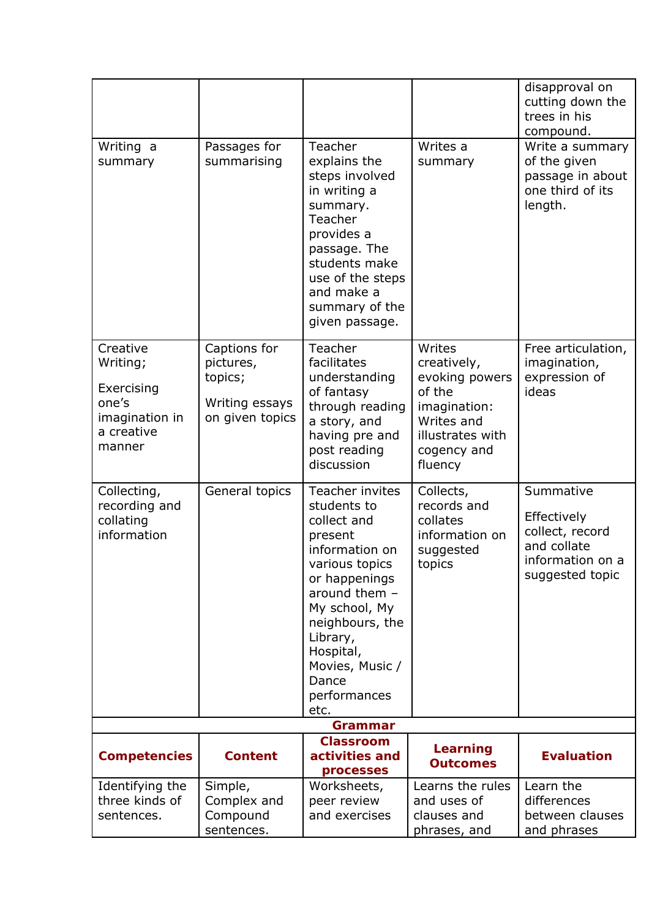|                                                                                       |                                                                           |                                                                                                                                                                                                                                                   |                                                                                                                               | disapproval on<br>cutting down the<br>trees in his<br>compound.                                   |
|---------------------------------------------------------------------------------------|---------------------------------------------------------------------------|---------------------------------------------------------------------------------------------------------------------------------------------------------------------------------------------------------------------------------------------------|-------------------------------------------------------------------------------------------------------------------------------|---------------------------------------------------------------------------------------------------|
| Writing a<br>summary                                                                  | Passages for<br>summarising                                               | Teacher<br>explains the<br>steps involved<br>in writing a<br>summary.<br>Teacher<br>provides a<br>passage. The<br>students make<br>use of the steps<br>and make a<br>summary of the<br>given passage.                                             | Writes a<br>summary                                                                                                           | Write a summary<br>of the given<br>passage in about<br>one third of its<br>length.                |
| Creative<br>Writing;<br>Exercising<br>one's<br>imagination in<br>a creative<br>manner | Captions for<br>pictures,<br>topics;<br>Writing essays<br>on given topics | Teacher<br>facilitates<br>understanding<br>of fantasy<br>through reading<br>a story, and<br>having pre and<br>post reading<br>discussion                                                                                                          | Writes<br>creatively,<br>evoking powers<br>of the<br>imagination:<br>Writes and<br>illustrates with<br>cogency and<br>fluency | Free articulation,<br>imagination,<br>expression of<br>ideas                                      |
| Collecting,<br>recording and<br>collating<br>information                              | General topics                                                            | Teacher invites<br>students to<br>collect and<br>present<br>information on<br>various topics<br>or happenings<br>around them $-$<br>My school, My<br>neighbours, the<br>Library,<br>Hospital,<br>Movies, Music /<br>Dance<br>performances<br>etc. | Collects,<br>records and<br>collates<br>information on<br>suggested<br>topics                                                 | Summative<br>Effectively<br>collect, record<br>and collate<br>information on a<br>suggested topic |
|                                                                                       |                                                                           | Grammar                                                                                                                                                                                                                                           |                                                                                                                               |                                                                                                   |
| <b>Competencies</b>                                                                   | <b>Content</b>                                                            | <b>Classroom</b><br>activities and<br>processes                                                                                                                                                                                                   | Learning<br><b>Outcomes</b>                                                                                                   | <b>Evaluation</b>                                                                                 |
| Identifying the<br>three kinds of<br>sentences.                                       | Simple,<br>Complex and<br>Compound<br>sentences.                          | Worksheets,<br>peer review<br>and exercises                                                                                                                                                                                                       | Learns the rules<br>and uses of<br>clauses and<br>phrases, and                                                                | Learn the<br>differences<br>between clauses<br>and phrases                                        |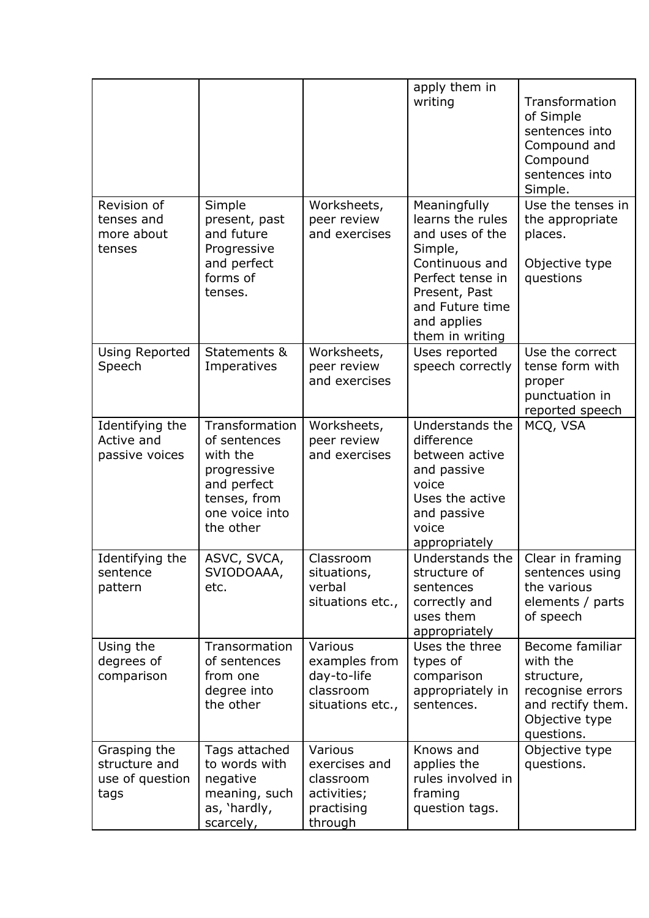|                                                          |                                                                                                                         |                                                                               | apply them in<br>writing                                                                                                                                                   | Transformation<br>of Simple<br>sentences into<br>Compound and<br>Compound<br>sentences into<br>Simple.             |
|----------------------------------------------------------|-------------------------------------------------------------------------------------------------------------------------|-------------------------------------------------------------------------------|----------------------------------------------------------------------------------------------------------------------------------------------------------------------------|--------------------------------------------------------------------------------------------------------------------|
| Revision of<br>tenses and<br>more about<br>tenses        | Simple<br>present, past<br>and future<br>Progressive<br>and perfect<br>forms of<br>tenses.                              | Worksheets,<br>peer review<br>and exercises                                   | Meaningfully<br>learns the rules<br>and uses of the<br>Simple,<br>Continuous and<br>Perfect tense in<br>Present, Past<br>and Future time<br>and applies<br>them in writing | Use the tenses in<br>the appropriate<br>places.<br>Objective type<br>questions                                     |
| <b>Using Reported</b><br>Speech                          | Statements &<br>Imperatives                                                                                             | Worksheets,<br>peer review<br>and exercises                                   | Uses reported<br>speech correctly                                                                                                                                          | Use the correct<br>tense form with<br>proper<br>punctuation in<br>reported speech                                  |
| Identifying the<br>Active and<br>passive voices          | Transformation<br>of sentences<br>with the<br>progressive<br>and perfect<br>tenses, from<br>one voice into<br>the other | Worksheets,<br>peer review<br>and exercises                                   | Understands the<br>difference<br>between active<br>and passive<br>voice<br>Uses the active<br>and passive<br>voice<br>appropriately                                        | MCQ, VSA                                                                                                           |
| Identifying the<br>sentence<br>pattern                   | ASVC, SVCA,<br>SVIODOAAA,<br>etc.                                                                                       | Classroom<br>situations,<br>verbal<br>situations etc.,                        | Understands the<br>structure of<br>sentences<br>correctly and<br>uses them<br>appropriately                                                                                | Clear in framing<br>sentences using<br>the various<br>elements / parts<br>of speech                                |
| Using the<br>degrees of<br>comparison                    | Transormation<br>of sentences<br>from one<br>degree into<br>the other                                                   | Various<br>examples from<br>day-to-life<br>classroom<br>situations etc.,      | Uses the three<br>types of<br>comparison<br>appropriately in<br>sentences.                                                                                                 | Become familiar<br>with the<br>structure,<br>recognise errors<br>and rectify them.<br>Objective type<br>questions. |
| Grasping the<br>structure and<br>use of question<br>tags | Tags attached<br>to words with<br>negative<br>meaning, such<br>as, 'hardly,<br>scarcely,                                | Various<br>exercises and<br>classroom<br>activities;<br>practising<br>through | Knows and<br>applies the<br>rules involved in<br>framing<br>question tags.                                                                                                 | Objective type<br>questions.                                                                                       |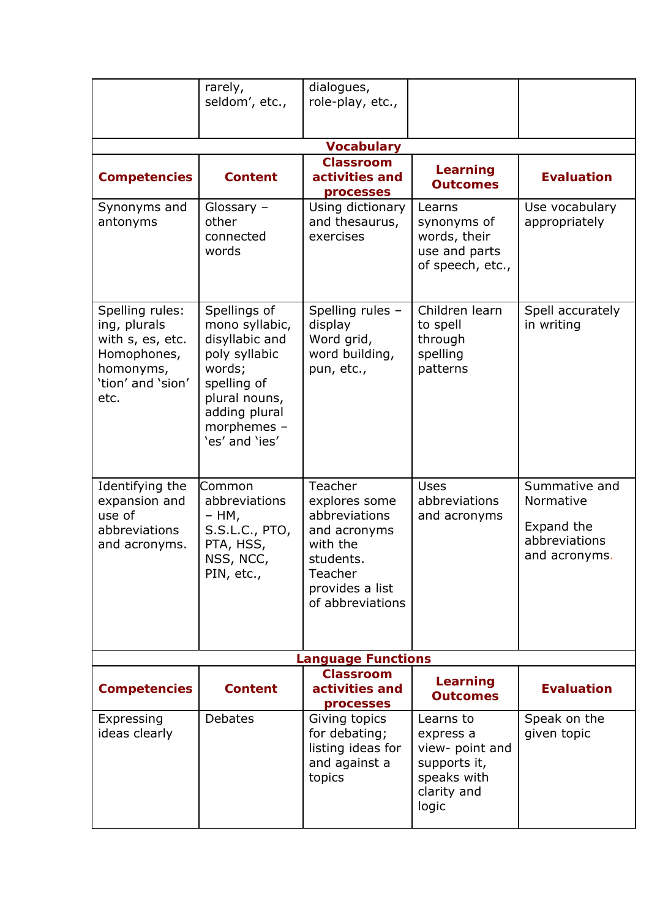|                                                                                                              | rarely,<br>seldom', etc.,                                                                                                                                     | dialogues,<br>role-play, etc.,                                                                                                       |                                                                                                  |                                                                            |  |  |  |
|--------------------------------------------------------------------------------------------------------------|---------------------------------------------------------------------------------------------------------------------------------------------------------------|--------------------------------------------------------------------------------------------------------------------------------------|--------------------------------------------------------------------------------------------------|----------------------------------------------------------------------------|--|--|--|
|                                                                                                              |                                                                                                                                                               |                                                                                                                                      |                                                                                                  |                                                                            |  |  |  |
|                                                                                                              |                                                                                                                                                               | <b>Vocabulary</b>                                                                                                                    |                                                                                                  |                                                                            |  |  |  |
| <b>Competencies</b>                                                                                          | <b>Content</b>                                                                                                                                                | <b>Classroom</b><br>activities and<br>processes                                                                                      | <b>Learning</b><br><b>Outcomes</b>                                                               | <b>Evaluation</b>                                                          |  |  |  |
| Synonyms and<br>antonyms                                                                                     | Glossary -<br>other<br>connected<br>words                                                                                                                     | Using dictionary<br>and thesaurus,<br>exercises                                                                                      | Learns<br>synonyms of<br>words, their<br>use and parts<br>of speech, etc.,                       | Use vocabulary<br>appropriately                                            |  |  |  |
| Spelling rules:<br>ing, plurals<br>with s, es, etc.<br>Homophones,<br>homonyms,<br>'tion' and 'sion'<br>etc. | Spellings of<br>mono syllabic,<br>disyllabic and<br>poly syllabic<br>words;<br>spelling of<br>plural nouns,<br>adding plural<br>morphemes -<br>'es' and 'ies' | Spelling rules -<br>display<br>Word grid,<br>word building,<br>pun, etc.,                                                            | Children learn<br>to spell<br>through<br>spelling<br>patterns                                    | Spell accurately<br>in writing                                             |  |  |  |
| Identifying the<br>expansion and<br>use of<br>abbreviations<br>and acronyms.                                 | Common<br>abbreviations<br>– HM,<br>S.S.L.C., PTO,<br>PTA, HSS,<br>NSS, NCC,<br>PIN, etc.,                                                                    | Teacher<br>explores some<br>abbreviations<br>and acronyms<br>with the<br>students.<br>Teacher<br>provides a list<br>of abbreviations | <b>Uses</b><br>abbreviations<br>and acronyms                                                     | Summative and<br>Normative<br>Expand the<br>abbreviations<br>and acronyms. |  |  |  |
| <b>Language Functions</b>                                                                                    |                                                                                                                                                               |                                                                                                                                      |                                                                                                  |                                                                            |  |  |  |
| <b>Competencies</b>                                                                                          | <b>Content</b>                                                                                                                                                | <b>Classroom</b><br>activities and<br>processes                                                                                      | <b>Learning</b><br><b>Outcomes</b>                                                               | <b>Evaluation</b>                                                          |  |  |  |
| Expressing<br>ideas clearly                                                                                  | Debates                                                                                                                                                       | Giving topics<br>for debating;<br>listing ideas for<br>and against a<br>topics                                                       | Learns to<br>express a<br>view- point and<br>supports it,<br>speaks with<br>clarity and<br>logic | Speak on the<br>given topic                                                |  |  |  |